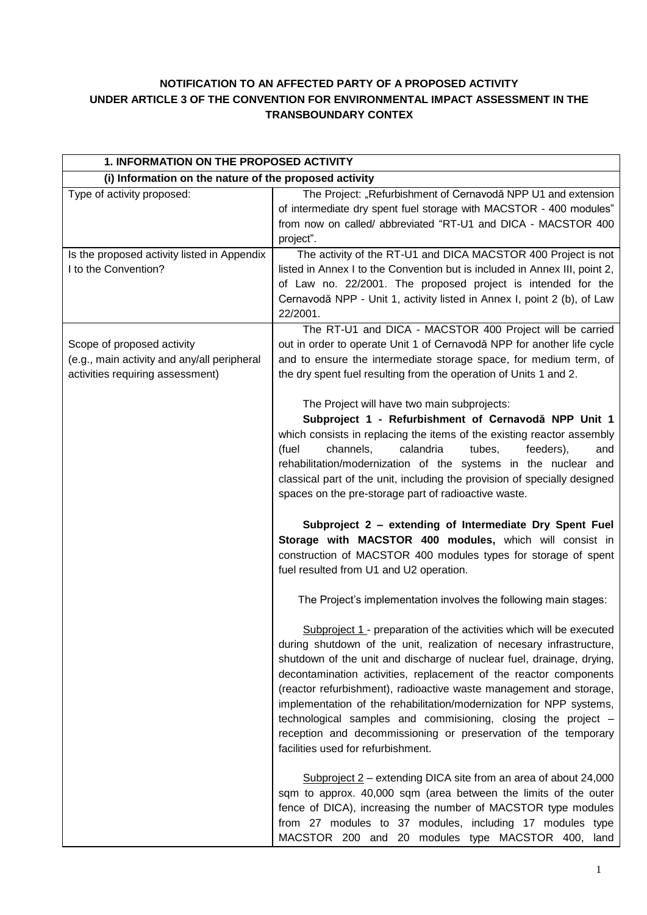# **NOTIFICATION TO AN AFFECTED PARTY OF A PROPOSED ACTIVITY UNDER ARTICLE 3 OF THE CONVENTION FOR ENVIRONMENTAL IMPACT ASSESSMENT IN THE TRANSBOUNDARY CONTEX**

| 1. INFORMATION ON THE PROPOSED ACTIVITY                                                                       |                                                                                                                                                                                                                                                                                                                                                                                                                                                                                                                                                                                                                 |
|---------------------------------------------------------------------------------------------------------------|-----------------------------------------------------------------------------------------------------------------------------------------------------------------------------------------------------------------------------------------------------------------------------------------------------------------------------------------------------------------------------------------------------------------------------------------------------------------------------------------------------------------------------------------------------------------------------------------------------------------|
| (i) Information on the nature of the proposed activity                                                        |                                                                                                                                                                                                                                                                                                                                                                                                                                                                                                                                                                                                                 |
| Type of activity proposed:                                                                                    | The Project: "Refurbishment of Cernavodă NPP U1 and extension<br>of intermediate dry spent fuel storage with MACSTOR - 400 modules"<br>from now on called/ abbreviated "RT-U1 and DICA - MACSTOR 400<br>project".                                                                                                                                                                                                                                                                                                                                                                                               |
| Is the proposed activity listed in Appendix<br>I to the Convention?                                           | The activity of the RT-U1 and DICA MACSTOR 400 Project is not<br>listed in Annex I to the Convention but is included in Annex III, point 2,<br>of Law no. 22/2001. The proposed project is intended for the<br>Cernavodă NPP - Unit 1, activity listed in Annex I, point 2 (b), of Law<br>22/2001.                                                                                                                                                                                                                                                                                                              |
| Scope of proposed activity<br>(e.g., main activity and any/all peripheral<br>activities requiring assessment) | The RT-U1 and DICA - MACSTOR 400 Project will be carried<br>out in order to operate Unit 1 of Cernavodă NPP for another life cycle<br>and to ensure the intermediate storage space, for medium term, of<br>the dry spent fuel resulting from the operation of Units 1 and 2.                                                                                                                                                                                                                                                                                                                                    |
|                                                                                                               | The Project will have two main subprojects:<br>Subproject 1 - Refurbishment of Cernavodă NPP Unit 1<br>which consists in replacing the items of the existing reactor assembly<br>channels,<br>calandria<br>tubes,<br>feeders),<br>(fuel<br>and<br>rehabilitation/modernization of the systems in the nuclear and<br>classical part of the unit, including the provision of specially designed<br>spaces on the pre-storage part of radioactive waste.                                                                                                                                                           |
|                                                                                                               | Subproject 2 - extending of Intermediate Dry Spent Fuel<br>Storage with MACSTOR 400 modules, which will consist in<br>construction of MACSTOR 400 modules types for storage of spent<br>fuel resulted from U1 and U2 operation.                                                                                                                                                                                                                                                                                                                                                                                 |
|                                                                                                               | The Project's implementation involves the following main stages:                                                                                                                                                                                                                                                                                                                                                                                                                                                                                                                                                |
|                                                                                                               | Subproject 1 - preparation of the activities which will be executed<br>during shutdown of the unit, realization of necesary infrastructure,<br>shutdown of the unit and discharge of nuclear fuel, drainage, drying,<br>decontamination activities, replacement of the reactor components<br>(reactor refurbishment), radioactive waste management and storage,<br>implementation of the rehabilitation/modernization for NPP systems,<br>technological samples and commisioning, closing the project -<br>reception and decommissioning or preservation of the temporary<br>facilities used for refurbishment. |
|                                                                                                               | Subproject $2$ – extending DICA site from an area of about 24,000<br>sqm to approx. 40,000 sqm (area between the limits of the outer<br>fence of DICA), increasing the number of MACSTOR type modules<br>from 27 modules to 37 modules, including 17 modules type<br>MACSTOR 200 and 20 modules type MACSTOR 400, land                                                                                                                                                                                                                                                                                          |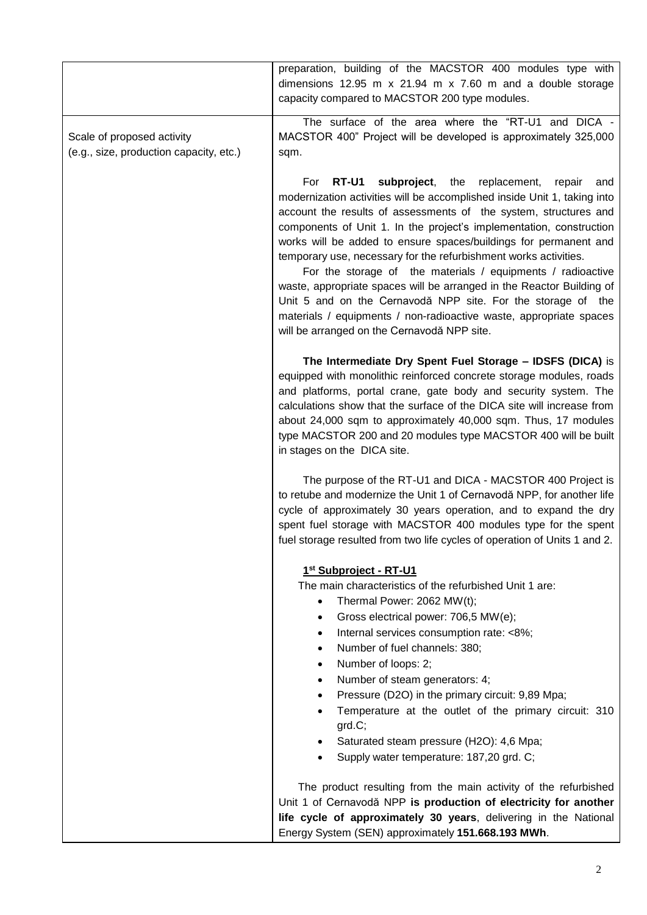|                                                                       | preparation, building of the MACSTOR 400 modules type with<br>dimensions 12.95 m $x$ 21.94 m $x$ 7.60 m and a double storage<br>capacity compared to MACSTOR 200 type modules.                                                                                                                                                                                                                                                                                                                                                                                                                                                                                                                                                                                  |
|-----------------------------------------------------------------------|-----------------------------------------------------------------------------------------------------------------------------------------------------------------------------------------------------------------------------------------------------------------------------------------------------------------------------------------------------------------------------------------------------------------------------------------------------------------------------------------------------------------------------------------------------------------------------------------------------------------------------------------------------------------------------------------------------------------------------------------------------------------|
| Scale of proposed activity<br>(e.g., size, production capacity, etc.) | The surface of the area where the "RT-U1 and DICA -<br>MACSTOR 400" Project will be developed is approximately 325,000<br>sqm.                                                                                                                                                                                                                                                                                                                                                                                                                                                                                                                                                                                                                                  |
|                                                                       | subproject,<br>RT-U1<br>the<br>replacement,<br>For<br>repair<br>and<br>modernization activities will be accomplished inside Unit 1, taking into<br>account the results of assessments of the system, structures and<br>components of Unit 1. In the project's implementation, construction<br>works will be added to ensure spaces/buildings for permanent and<br>temporary use, necessary for the refurbishment works activities.<br>For the storage of the materials / equipments / radioactive<br>waste, appropriate spaces will be arranged in the Reactor Building of<br>Unit 5 and on the Cernavodă NPP site. For the storage of the<br>materials / equipments / non-radioactive waste, appropriate spaces<br>will be arranged on the Cernavodă NPP site. |
|                                                                       | The Intermediate Dry Spent Fuel Storage - IDSFS (DICA) is<br>equipped with monolithic reinforced concrete storage modules, roads<br>and platforms, portal crane, gate body and security system. The<br>calculations show that the surface of the DICA site will increase from<br>about 24,000 sqm to approximately 40,000 sqm. Thus, 17 modules<br>type MACSTOR 200 and 20 modules type MACSTOR 400 will be built<br>in stages on the DICA site.                                                                                                                                                                                                                                                                                                                |
|                                                                       | The purpose of the RT-U1 and DICA - MACSTOR 400 Project is<br>to retube and modernize the Unit 1 of Cernavodă NPP, for another life<br>cycle of approximately 30 years operation, and to expand the dry<br>spent fuel storage with MACSTOR 400 modules type for the spent<br>fuel storage resulted from two life cycles of operation of Units 1 and 2.                                                                                                                                                                                                                                                                                                                                                                                                          |
|                                                                       | 1st Subproject - RT-U1<br>The main characteristics of the refurbished Unit 1 are:<br>Thermal Power: 2062 MW(t);<br>$\bullet$<br>Gross electrical power: 706,5 MW(e);<br>$\bullet$<br>Internal services consumption rate: <8%;<br>$\bullet$<br>Number of fuel channels: 380;<br>$\bullet$<br>Number of loops: 2;<br>$\bullet$<br>Number of steam generators: 4;<br>$\bullet$<br>Pressure (D2O) in the primary circuit: 9,89 Mpa;<br>$\bullet$<br>Temperature at the outlet of the primary circuit: 310<br>grd.C;<br>Saturated steam pressure (H2O): 4,6 Mpa;<br>$\bullet$<br>Supply water temperature: 187,20 grd. C;<br>$\bullet$<br>The product resulting from the main activity of the refurbished                                                            |
|                                                                       | Unit 1 of Cernavodă NPP is production of electricity for another<br>life cycle of approximately 30 years, delivering in the National<br>Energy System (SEN) approximately 151.668.193 MWh.                                                                                                                                                                                                                                                                                                                                                                                                                                                                                                                                                                      |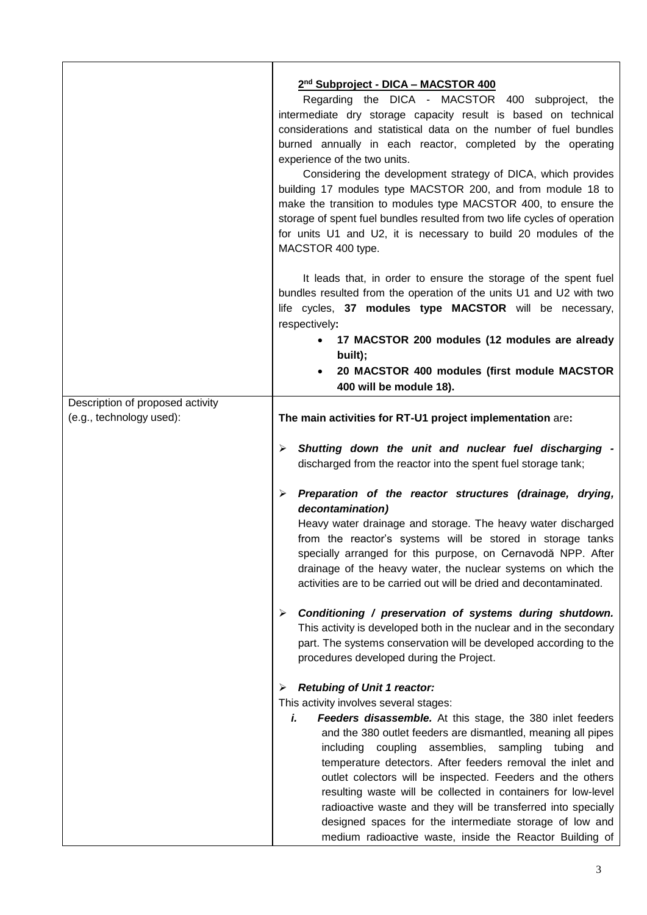|                                                              | 2nd Subproject - DICA - MACSTOR 400                                                                                                                                                                                                                                                                                                                                                                                                                                                                                                                                                                                              |
|--------------------------------------------------------------|----------------------------------------------------------------------------------------------------------------------------------------------------------------------------------------------------------------------------------------------------------------------------------------------------------------------------------------------------------------------------------------------------------------------------------------------------------------------------------------------------------------------------------------------------------------------------------------------------------------------------------|
|                                                              | Regarding the DICA - MACSTOR 400 subproject, the<br>intermediate dry storage capacity result is based on technical<br>considerations and statistical data on the number of fuel bundles<br>burned annually in each reactor, completed by the operating                                                                                                                                                                                                                                                                                                                                                                           |
|                                                              | experience of the two units.<br>Considering the development strategy of DICA, which provides<br>building 17 modules type MACSTOR 200, and from module 18 to<br>make the transition to modules type MACSTOR 400, to ensure the<br>storage of spent fuel bundles resulted from two life cycles of operation<br>for units U1 and U2, it is necessary to build 20 modules of the<br>MACSTOR 400 type.                                                                                                                                                                                                                                |
|                                                              | It leads that, in order to ensure the storage of the spent fuel<br>bundles resulted from the operation of the units U1 and U2 with two<br>life cycles, 37 modules type MACSTOR will be necessary,<br>respectively:                                                                                                                                                                                                                                                                                                                                                                                                               |
|                                                              | 17 MACSTOR 200 modules (12 modules are already                                                                                                                                                                                                                                                                                                                                                                                                                                                                                                                                                                                   |
|                                                              | built);<br>20 MACSTOR 400 modules (first module MACSTOR<br>$\bullet$                                                                                                                                                                                                                                                                                                                                                                                                                                                                                                                                                             |
|                                                              | 400 will be module 18).                                                                                                                                                                                                                                                                                                                                                                                                                                                                                                                                                                                                          |
| Description of proposed activity<br>(e.g., technology used): | The main activities for RT-U1 project implementation are:                                                                                                                                                                                                                                                                                                                                                                                                                                                                                                                                                                        |
|                                                              | Shutting down the unit and nuclear fuel discharging -<br>$\blacktriangleright$<br>discharged from the reactor into the spent fuel storage tank;                                                                                                                                                                                                                                                                                                                                                                                                                                                                                  |
|                                                              | Preparation of the reactor structures (drainage, drying,<br>➤<br>decontamination)<br>Heavy water drainage and storage. The heavy water discharged<br>from the reactor's systems will be stored in storage tanks<br>specially arranged for this purpose, on Cernavodă NPP. After<br>drainage of the heavy water, the nuclear systems on which the<br>activities are to be carried out will be dried and decontaminated.                                                                                                                                                                                                           |
|                                                              | Conditioning / preservation of systems during shutdown.<br>➤<br>This activity is developed both in the nuclear and in the secondary<br>part. The systems conservation will be developed according to the<br>procedures developed during the Project.                                                                                                                                                                                                                                                                                                                                                                             |
|                                                              | <b>Retubing of Unit 1 reactor:</b><br>➤                                                                                                                                                                                                                                                                                                                                                                                                                                                                                                                                                                                          |
|                                                              | This activity involves several stages:<br>Feeders disassemble. At this stage, the 380 inlet feeders<br>i.<br>and the 380 outlet feeders are dismantled, meaning all pipes<br>coupling assemblies,<br>sampling<br>including<br>tubing<br>and<br>temperature detectors. After feeders removal the inlet and<br>outlet colectors will be inspected. Feeders and the others<br>resulting waste will be collected in containers for low-level<br>radioactive waste and they will be transferred into specially<br>designed spaces for the intermediate storage of low and<br>medium radioactive waste, inside the Reactor Building of |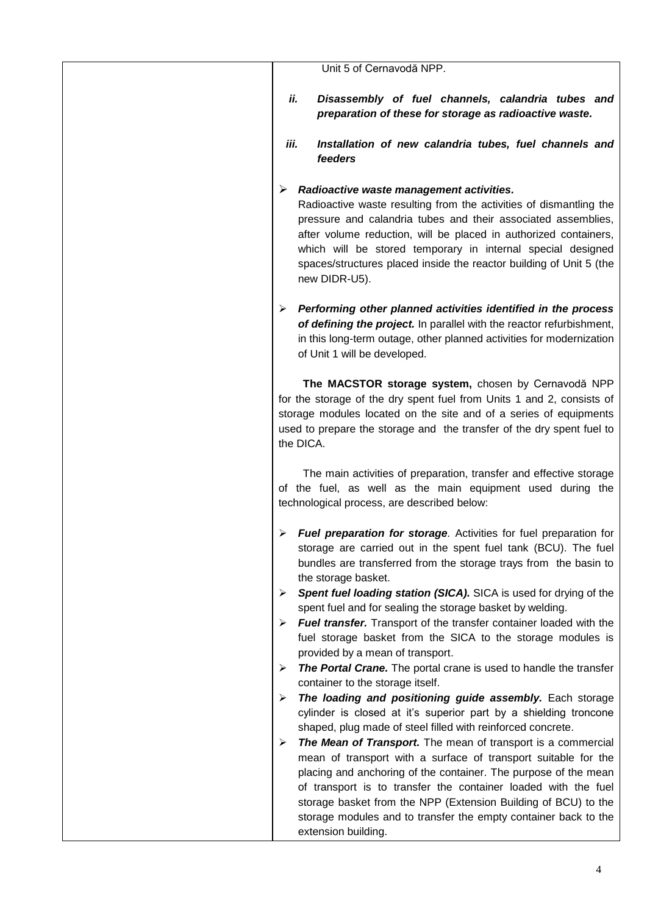| Unit 5 of Cernavodă NPP.                                                                                                                                                                                                                                                                                                                                                                                                             |
|--------------------------------------------------------------------------------------------------------------------------------------------------------------------------------------------------------------------------------------------------------------------------------------------------------------------------------------------------------------------------------------------------------------------------------------|
| ii.<br>Disassembly of fuel channels, calandria tubes and<br>preparation of these for storage as radioactive waste.                                                                                                                                                                                                                                                                                                                   |
| iii.<br>Installation of new calandria tubes, fuel channels and<br>feeders                                                                                                                                                                                                                                                                                                                                                            |
| Radioactive waste management activities.<br>➤<br>Radioactive waste resulting from the activities of dismantling the<br>pressure and calandria tubes and their associated assemblies,<br>after volume reduction, will be placed in authorized containers,<br>which will be stored temporary in internal special designed<br>spaces/structures placed inside the reactor building of Unit 5 (the<br>new DIDR-U5).                      |
| Performing other planned activities identified in the process<br>➤<br>of defining the project. In parallel with the reactor refurbishment,<br>in this long-term outage, other planned activities for modernization<br>of Unit 1 will be developed.                                                                                                                                                                                   |
| The MACSTOR storage system, chosen by Cernavodă NPP<br>for the storage of the dry spent fuel from Units 1 and 2, consists of<br>storage modules located on the site and of a series of equipments<br>used to prepare the storage and the transfer of the dry spent fuel to<br>the DICA.                                                                                                                                              |
| The main activities of preparation, transfer and effective storage<br>of the fuel, as well as the main equipment used during the<br>technological process, are described below:                                                                                                                                                                                                                                                      |
| $\triangleright$ Fuel preparation for storage. Activities for fuel preparation for<br>storage are carried out in the spent fuel tank (BCU). The fuel<br>bundles are transferred from the storage trays from the basin to<br>the storage basket.                                                                                                                                                                                      |
| Spent fuel loading station (SICA). SICA is used for drying of the<br>➤<br>spent fuel and for sealing the storage basket by welding.<br><b>Fuel transfer.</b> Transport of the transfer container loaded with the<br>➤<br>fuel storage basket from the SICA to the storage modules is<br>provided by a mean of transport.<br>The Portal Crane. The portal crane is used to handle the transfer<br>➤                                   |
| container to the storage itself.<br>The loading and positioning guide assembly. Each storage<br>➤<br>cylinder is closed at it's superior part by a shielding troncone<br>shaped, plug made of steel filled with reinforced concrete.                                                                                                                                                                                                 |
| The Mean of Transport. The mean of transport is a commercial<br>➤<br>mean of transport with a surface of transport suitable for the<br>placing and anchoring of the container. The purpose of the mean<br>of transport is to transfer the container loaded with the fuel<br>storage basket from the NPP (Extension Building of BCU) to the<br>storage modules and to transfer the empty container back to the<br>extension building. |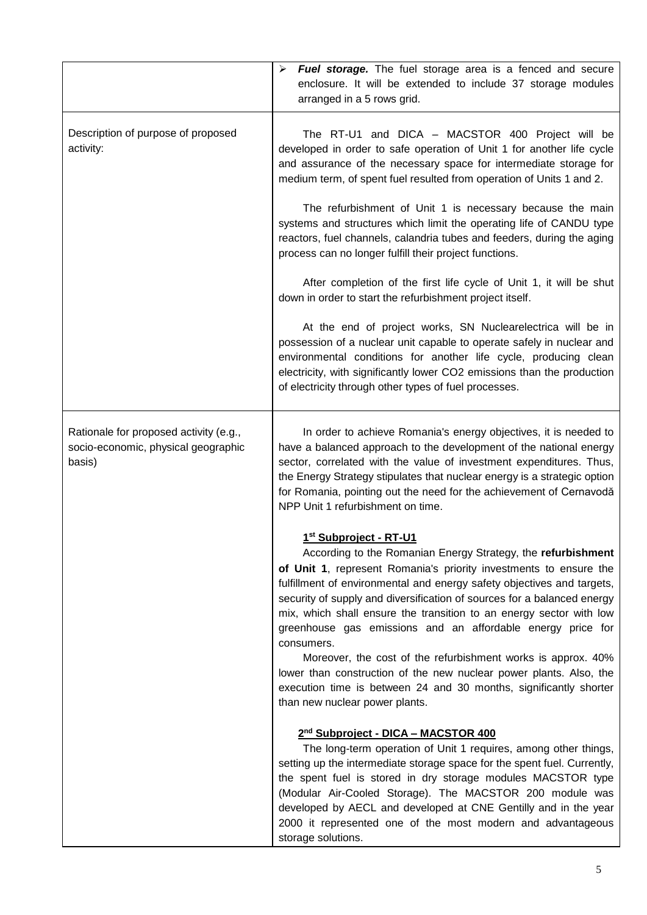|                                                                                         | <b>Fuel storage.</b> The fuel storage area is a fenced and secure<br>➤<br>enclosure. It will be extended to include 37 storage modules<br>arranged in a 5 rows grid.                                                                                                                                                                                                                                                                                                                                                                                                                                                                                                                                              |
|-----------------------------------------------------------------------------------------|-------------------------------------------------------------------------------------------------------------------------------------------------------------------------------------------------------------------------------------------------------------------------------------------------------------------------------------------------------------------------------------------------------------------------------------------------------------------------------------------------------------------------------------------------------------------------------------------------------------------------------------------------------------------------------------------------------------------|
| Description of purpose of proposed<br>activity:                                         | The RT-U1 and DICA - MACSTOR 400 Project will be<br>developed in order to safe operation of Unit 1 for another life cycle<br>and assurance of the necessary space for intermediate storage for<br>medium term, of spent fuel resulted from operation of Units 1 and 2.                                                                                                                                                                                                                                                                                                                                                                                                                                            |
|                                                                                         | The refurbishment of Unit 1 is necessary because the main<br>systems and structures which limit the operating life of CANDU type<br>reactors, fuel channels, calandria tubes and feeders, during the aging<br>process can no longer fulfill their project functions.                                                                                                                                                                                                                                                                                                                                                                                                                                              |
|                                                                                         | After completion of the first life cycle of Unit 1, it will be shut<br>down in order to start the refurbishment project itself.                                                                                                                                                                                                                                                                                                                                                                                                                                                                                                                                                                                   |
|                                                                                         | At the end of project works, SN Nuclearelectrica will be in<br>possession of a nuclear unit capable to operate safely in nuclear and<br>environmental conditions for another life cycle, producing clean<br>electricity, with significantly lower CO2 emissions than the production<br>of electricity through other types of fuel processes.                                                                                                                                                                                                                                                                                                                                                                      |
| Rationale for proposed activity (e.g.,<br>socio-economic, physical geographic<br>basis) | In order to achieve Romania's energy objectives, it is needed to<br>have a balanced approach to the development of the national energy<br>sector, correlated with the value of investment expenditures. Thus,<br>the Energy Strategy stipulates that nuclear energy is a strategic option<br>for Romania, pointing out the need for the achievement of Cernavodă<br>NPP Unit 1 refurbishment on time.                                                                                                                                                                                                                                                                                                             |
|                                                                                         | 1st Subproject - RT-U1<br>According to the Romanian Energy Strategy, the refurbishment<br>of Unit 1, represent Romania's priority investments to ensure the<br>fulfillment of environmental and energy safety objectives and targets,<br>security of supply and diversification of sources for a balanced energy<br>mix, which shall ensure the transition to an energy sector with low<br>greenhouse gas emissions and an affordable energy price for<br>consumers.<br>Moreover, the cost of the refurbishment works is approx. 40%<br>lower than construction of the new nuclear power plants. Also, the<br>execution time is between 24 and 30 months, significantly shorter<br>than new nuclear power plants. |
|                                                                                         | 2 <sup>nd</sup> Subproject - DICA - MACSTOR 400<br>The long-term operation of Unit 1 requires, among other things,<br>setting up the intermediate storage space for the spent fuel. Currently,<br>the spent fuel is stored in dry storage modules MACSTOR type<br>(Modular Air-Cooled Storage). The MACSTOR 200 module was<br>developed by AECL and developed at CNE Gentilly and in the year<br>2000 it represented one of the most modern and advantageous<br>storage solutions.                                                                                                                                                                                                                                |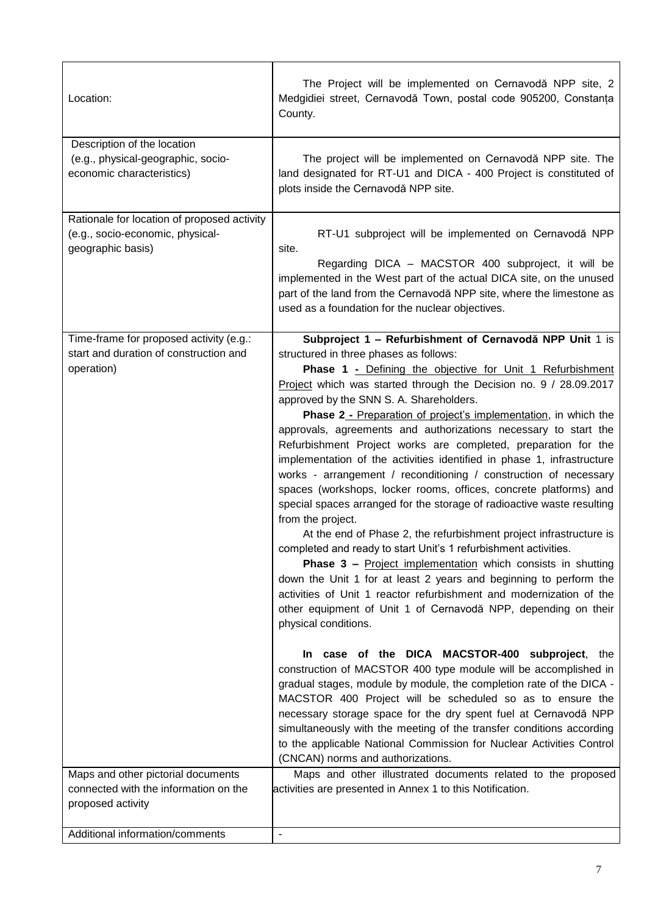| Location:                                                                                            | The Project will be implemented on Cernavodă NPP site, 2<br>Medgidiei street, Cernavodă Town, postal code 905200, Constanța<br>County.                                                                                                                                                                                                                                                                                                                                                                                                                                                                                                                                                                                                                                                                                                                                                                                                                                                                                                                                                                                                                                                                                                                               |
|------------------------------------------------------------------------------------------------------|----------------------------------------------------------------------------------------------------------------------------------------------------------------------------------------------------------------------------------------------------------------------------------------------------------------------------------------------------------------------------------------------------------------------------------------------------------------------------------------------------------------------------------------------------------------------------------------------------------------------------------------------------------------------------------------------------------------------------------------------------------------------------------------------------------------------------------------------------------------------------------------------------------------------------------------------------------------------------------------------------------------------------------------------------------------------------------------------------------------------------------------------------------------------------------------------------------------------------------------------------------------------|
| Description of the location<br>(e.g., physical-geographic, socio-<br>economic characteristics)       | The project will be implemented on Cernavodă NPP site. The<br>land designated for RT-U1 and DICA - 400 Project is constituted of<br>plots inside the Cernavodă NPP site.                                                                                                                                                                                                                                                                                                                                                                                                                                                                                                                                                                                                                                                                                                                                                                                                                                                                                                                                                                                                                                                                                             |
| Rationale for location of proposed activity<br>(e.g., socio-economic, physical-<br>geographic basis) | RT-U1 subproject will be implemented on Cernavodă NPP<br>site.<br>Regarding DICA - MACSTOR 400 subproject, it will be<br>implemented in the West part of the actual DICA site, on the unused<br>part of the land from the Cernavodă NPP site, where the limestone as<br>used as a foundation for the nuclear objectives.                                                                                                                                                                                                                                                                                                                                                                                                                                                                                                                                                                                                                                                                                                                                                                                                                                                                                                                                             |
| Time-frame for proposed activity (e.g.:<br>start and duration of construction and<br>operation)      | Subproject 1 - Refurbishment of Cernavodă NPP Unit 1 is<br>structured in three phases as follows:<br><b>Phase 1 - Defining the objective for Unit 1 Refurbishment</b><br>Project which was started through the Decision no. 9 / 28.09.2017<br>approved by the SNN S. A. Shareholders.<br><b>Phase 2 - Preparation of project's implementation, in which the</b><br>approvals, agreements and authorizations necessary to start the<br>Refurbishment Project works are completed, preparation for the<br>implementation of the activities identified in phase 1, infrastructure<br>works - arrangement / reconditioning / construction of necessary<br>spaces (workshops, locker rooms, offices, concrete platforms) and<br>special spaces arranged for the storage of radioactive waste resulting<br>from the project.<br>At the end of Phase 2, the refurbishment project infrastructure is<br>completed and ready to start Unit's 1 refurbishment activities.<br>Phase 3 - Project implementation which consists in shutting<br>down the Unit 1 for at least 2 years and beginning to perform the<br>activities of Unit 1 reactor refurbishment and modernization of the<br>other equipment of Unit 1 of Cernavodă NPP, depending on their<br>physical conditions. |
|                                                                                                      | In case of the DICA MACSTOR-400 subproject, the<br>construction of MACSTOR 400 type module will be accomplished in<br>gradual stages, module by module, the completion rate of the DICA -<br>MACSTOR 400 Project will be scheduled so as to ensure the<br>necessary storage space for the dry spent fuel at Cernavodă NPP<br>simultaneously with the meeting of the transfer conditions according<br>to the applicable National Commission for Nuclear Activities Control<br>(CNCAN) norms and authorizations.                                                                                                                                                                                                                                                                                                                                                                                                                                                                                                                                                                                                                                                                                                                                                       |
| Maps and other pictorial documents<br>connected with the information on the<br>proposed activity     | Maps and other illustrated documents related to the proposed<br>activities are presented in Annex 1 to this Notification.                                                                                                                                                                                                                                                                                                                                                                                                                                                                                                                                                                                                                                                                                                                                                                                                                                                                                                                                                                                                                                                                                                                                            |
| Additional information/comments                                                                      | $\overline{a}$                                                                                                                                                                                                                                                                                                                                                                                                                                                                                                                                                                                                                                                                                                                                                                                                                                                                                                                                                                                                                                                                                                                                                                                                                                                       |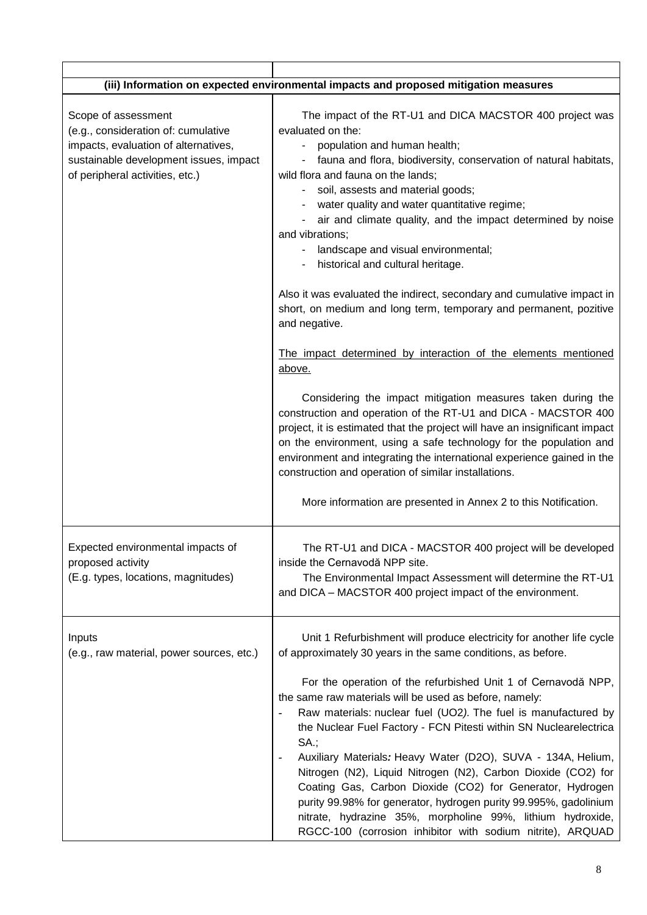|                                                                                                                                                                                 | (iii) Information on expected environmental impacts and proposed mitigation measures                                                                                                                                                                                                                                                                                                                                                                                                                                                                                                                                                                                                                                                                                                                                                                                                                                                                                                                                                                                                                                                                                                                                                       |
|---------------------------------------------------------------------------------------------------------------------------------------------------------------------------------|--------------------------------------------------------------------------------------------------------------------------------------------------------------------------------------------------------------------------------------------------------------------------------------------------------------------------------------------------------------------------------------------------------------------------------------------------------------------------------------------------------------------------------------------------------------------------------------------------------------------------------------------------------------------------------------------------------------------------------------------------------------------------------------------------------------------------------------------------------------------------------------------------------------------------------------------------------------------------------------------------------------------------------------------------------------------------------------------------------------------------------------------------------------------------------------------------------------------------------------------|
| Scope of assessment<br>(e.g., consideration of: cumulative<br>impacts, evaluation of alternatives,<br>sustainable development issues, impact<br>of peripheral activities, etc.) | The impact of the RT-U1 and DICA MACSTOR 400 project was<br>evaluated on the:<br>population and human health;<br>$\blacksquare$<br>fauna and flora, biodiversity, conservation of natural habitats,<br>wild flora and fauna on the lands;<br>soil, assests and material goods;<br>water quality and water quantitative regime;<br>air and climate quality, and the impact determined by noise<br>and vibrations;<br>landscape and visual environmental;<br>historical and cultural heritage.<br>Also it was evaluated the indirect, secondary and cumulative impact in<br>short, on medium and long term, temporary and permanent, pozitive<br>and negative.<br>The impact determined by interaction of the elements mentioned<br><u>above.</u><br>Considering the impact mitigation measures taken during the<br>construction and operation of the RT-U1 and DICA - MACSTOR 400<br>project, it is estimated that the project will have an insignificant impact<br>on the environment, using a safe technology for the population and<br>environment and integrating the international experience gained in the<br>construction and operation of similar installations.<br>More information are presented in Annex 2 to this Notification. |
| Expected environmental impacts of<br>proposed activity<br>(E.g. types, locations, magnitudes)                                                                                   | The RT-U1 and DICA - MACSTOR 400 project will be developed<br>inside the Cernavodă NPP site.<br>The Environmental Impact Assessment will determine the RT-U1<br>and DICA - MACSTOR 400 project impact of the environment.                                                                                                                                                                                                                                                                                                                                                                                                                                                                                                                                                                                                                                                                                                                                                                                                                                                                                                                                                                                                                  |
| Inputs<br>(e.g., raw material, power sources, etc.)                                                                                                                             | Unit 1 Refurbishment will produce electricity for another life cycle<br>of approximately 30 years in the same conditions, as before.<br>For the operation of the refurbished Unit 1 of Cernavodă NPP,<br>the same raw materials will be used as before, namely:<br>Raw materials: nuclear fuel (UO2). The fuel is manufactured by<br>the Nuclear Fuel Factory - FCN Pitesti within SN Nuclearelectrica<br><b>SA.;</b><br>Auxiliary Materials: Heavy Water (D2O), SUVA - 134A, Helium,<br>Nitrogen (N2), Liquid Nitrogen (N2), Carbon Dioxide (CO2) for<br>Coating Gas, Carbon Dioxide (CO2) for Generator, Hydrogen<br>purity 99.98% for generator, hydrogen purity 99.995%, gadolinium<br>nitrate, hydrazine 35%, morpholine 99%, lithium hydroxide,<br>RGCC-100 (corrosion inhibitor with sodium nitrite), ARQUAD                                                                                                                                                                                                                                                                                                                                                                                                                        |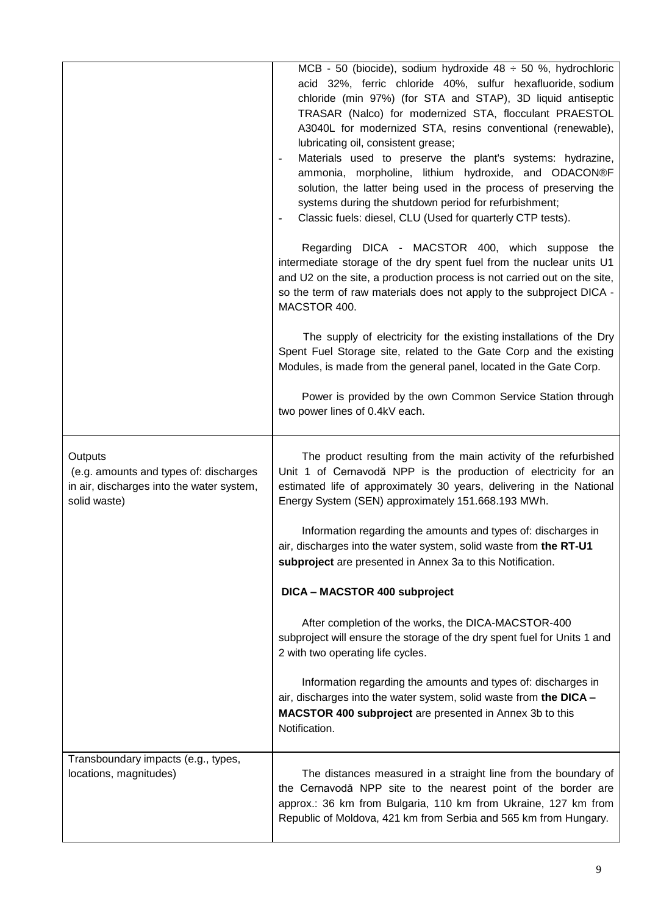|                                                                                                                | MCB - 50 (biocide), sodium hydroxide 48 $\div$ 50 %, hydrochloric<br>acid 32%, ferric chloride 40%, sulfur hexafluoride, sodium<br>chloride (min 97%) (for STA and STAP), 3D liquid antiseptic<br>TRASAR (Nalco) for modernized STA, flocculant PRAESTOL<br>A3040L for modernized STA, resins conventional (renewable),<br>lubricating oil, consistent grease;<br>Materials used to preserve the plant's systems: hydrazine,<br>ammonia, morpholine, lithium hydroxide, and ODACON®F<br>solution, the latter being used in the process of preserving the<br>systems during the shutdown period for refurbishment;<br>Classic fuels: diesel, CLU (Used for quarterly CTP tests).<br>$\tilde{\phantom{a}}$<br>Regarding DICA - MACSTOR 400, which suppose the<br>intermediate storage of the dry spent fuel from the nuclear units U1<br>and U2 on the site, a production process is not carried out on the site,<br>so the term of raw materials does not apply to the subproject DICA -<br>MACSTOR 400.<br>The supply of electricity for the existing installations of the Dry<br>Spent Fuel Storage site, related to the Gate Corp and the existing<br>Modules, is made from the general panel, located in the Gate Corp.<br>Power is provided by the own Common Service Station through<br>two power lines of 0.4kV each. |
|----------------------------------------------------------------------------------------------------------------|-----------------------------------------------------------------------------------------------------------------------------------------------------------------------------------------------------------------------------------------------------------------------------------------------------------------------------------------------------------------------------------------------------------------------------------------------------------------------------------------------------------------------------------------------------------------------------------------------------------------------------------------------------------------------------------------------------------------------------------------------------------------------------------------------------------------------------------------------------------------------------------------------------------------------------------------------------------------------------------------------------------------------------------------------------------------------------------------------------------------------------------------------------------------------------------------------------------------------------------------------------------------------------------------------------------------------------|
| Outputs<br>(e.g. amounts and types of: discharges<br>in air, discharges into the water system,<br>solid waste) | The product resulting from the main activity of the refurbished<br>Unit 1 of Cernavodă NPP is the production of electricity for an<br>estimated life of approximately 30 years, delivering in the National<br>Energy System (SEN) approximately 151.668.193 MWh.<br>Information regarding the amounts and types of: discharges in<br>air, discharges into the water system, solid waste from the RT-U1<br>subproject are presented in Annex 3a to this Notification.                                                                                                                                                                                                                                                                                                                                                                                                                                                                                                                                                                                                                                                                                                                                                                                                                                                        |
|                                                                                                                | DICA - MACSTOR 400 subproject                                                                                                                                                                                                                                                                                                                                                                                                                                                                                                                                                                                                                                                                                                                                                                                                                                                                                                                                                                                                                                                                                                                                                                                                                                                                                               |
|                                                                                                                | After completion of the works, the DICA-MACSTOR-400<br>subproject will ensure the storage of the dry spent fuel for Units 1 and<br>2 with two operating life cycles.                                                                                                                                                                                                                                                                                                                                                                                                                                                                                                                                                                                                                                                                                                                                                                                                                                                                                                                                                                                                                                                                                                                                                        |
|                                                                                                                | Information regarding the amounts and types of: discharges in<br>air, discharges into the water system, solid waste from the DICA -<br>MACSTOR 400 subproject are presented in Annex 3b to this<br>Notification.                                                                                                                                                                                                                                                                                                                                                                                                                                                                                                                                                                                                                                                                                                                                                                                                                                                                                                                                                                                                                                                                                                            |
| Transboundary impacts (e.g., types,<br>locations, magnitudes)                                                  | The distances measured in a straight line from the boundary of<br>the Cernavodă NPP site to the nearest point of the border are<br>approx.: 36 km from Bulgaria, 110 km from Ukraine, 127 km from<br>Republic of Moldova, 421 km from Serbia and 565 km from Hungary.                                                                                                                                                                                                                                                                                                                                                                                                                                                                                                                                                                                                                                                                                                                                                                                                                                                                                                                                                                                                                                                       |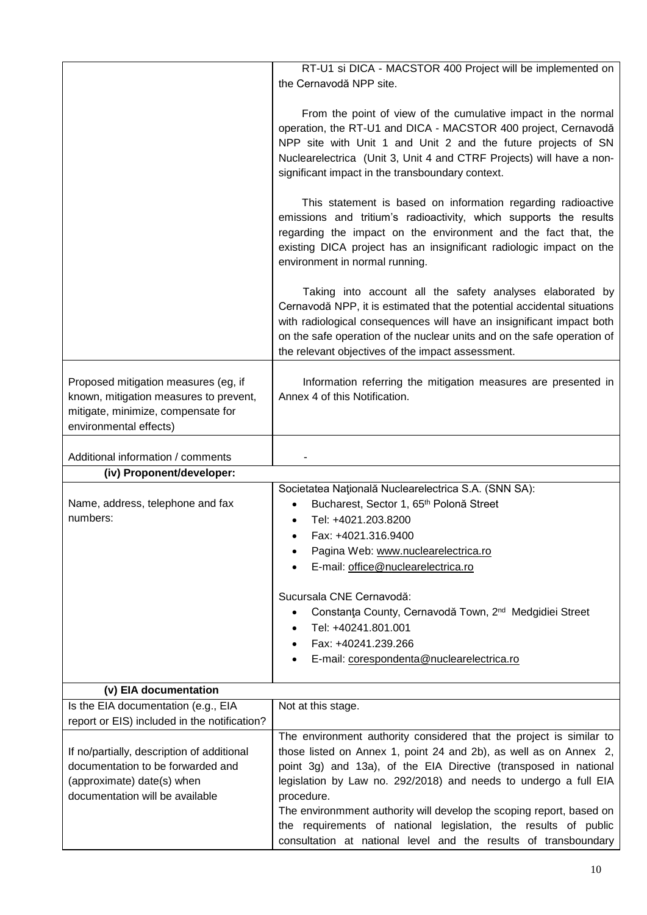| the Cernavodă NPP site.                                                                                                                                                                                                                                                                                                                                                                                                                                                                                      |
|--------------------------------------------------------------------------------------------------------------------------------------------------------------------------------------------------------------------------------------------------------------------------------------------------------------------------------------------------------------------------------------------------------------------------------------------------------------------------------------------------------------|
| From the point of view of the cumulative impact in the normal<br>operation, the RT-U1 and DICA - MACSTOR 400 project, Cernavodă<br>NPP site with Unit 1 and Unit 2 and the future projects of SN<br>Nuclearelectrica (Unit 3, Unit 4 and CTRF Projects) will have a non-<br>significant impact in the transboundary context.                                                                                                                                                                                 |
| This statement is based on information regarding radioactive<br>emissions and tritium's radioactivity, which supports the results<br>regarding the impact on the environment and the fact that, the<br>existing DICA project has an insignificant radiologic impact on the<br>environment in normal running.                                                                                                                                                                                                 |
| Taking into account all the safety analyses elaborated by<br>Cernavodă NPP, it is estimated that the potential accidental situations<br>with radiological consequences will have an insignificant impact both<br>on the safe operation of the nuclear units and on the safe operation of<br>the relevant objectives of the impact assessment.                                                                                                                                                                |
| Information referring the mitigation measures are presented in<br>Annex 4 of this Notification.                                                                                                                                                                                                                                                                                                                                                                                                              |
|                                                                                                                                                                                                                                                                                                                                                                                                                                                                                                              |
|                                                                                                                                                                                                                                                                                                                                                                                                                                                                                                              |
| Societatea Națională Nuclearelectrica S.A. (SNN SA):<br>Bucharest, Sector 1, 65 <sup>th</sup> Polonă Street<br>$\bullet$<br>Tel: +4021.203.8200<br>$\bullet$<br>Fax: +4021.316.9400<br>٠<br>Pagina Web: www.nuclearelectrica.ro<br>E-mail: office@nuclearelectrica.ro                                                                                                                                                                                                                                        |
| Sucursala CNE Cernavodă:<br>Constanța County, Cernavodă Town, 2 <sup>nd</sup> Medgidiei Street<br>Tel: +40241.801.001<br>٠<br>Fax: +40241.239.266<br>$\bullet$<br>E-mail: corespondenta@nuclearelectrica.ro                                                                                                                                                                                                                                                                                                  |
|                                                                                                                                                                                                                                                                                                                                                                                                                                                                                                              |
| Not at this stage.                                                                                                                                                                                                                                                                                                                                                                                                                                                                                           |
| The environment authority considered that the project is similar to<br>those listed on Annex 1, point 24 and 2b), as well as on Annex 2,<br>point 3g) and 13a), of the EIA Directive (transposed in national<br>legislation by Law no. 292/2018) and needs to undergo a full EIA<br>procedure.<br>The environmment authority will develop the scoping report, based on<br>the requirements of national legislation, the results of public<br>consultation at national level and the results of transboundary |
|                                                                                                                                                                                                                                                                                                                                                                                                                                                                                                              |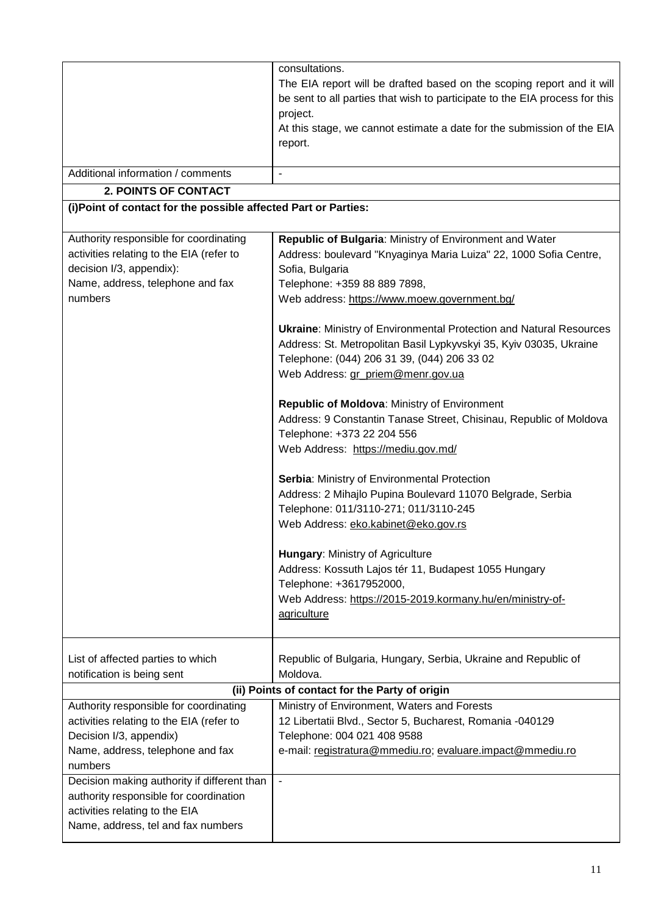|                                                                                                                                                               | consultations.<br>The EIA report will be drafted based on the scoping report and it will<br>be sent to all parties that wish to participate to the EIA process for this<br>project.<br>At this stage, we cannot estimate a date for the submission of the EIA<br>report. |
|---------------------------------------------------------------------------------------------------------------------------------------------------------------|--------------------------------------------------------------------------------------------------------------------------------------------------------------------------------------------------------------------------------------------------------------------------|
| Additional information / comments                                                                                                                             |                                                                                                                                                                                                                                                                          |
| <b>2. POINTS OF CONTACT</b>                                                                                                                                   |                                                                                                                                                                                                                                                                          |
| (i) Point of contact for the possible affected Part or Parties:                                                                                               |                                                                                                                                                                                                                                                                          |
|                                                                                                                                                               |                                                                                                                                                                                                                                                                          |
| Authority responsible for coordinating<br>activities relating to the EIA (refer to<br>decision I/3, appendix):<br>Name, address, telephone and fax<br>numbers | Republic of Bulgaria: Ministry of Environment and Water<br>Address: boulevard "Knyaginya Maria Luiza" 22, 1000 Sofia Centre,<br>Sofia, Bulgaria<br>Telephone: +359 88 889 7898,<br>Web address: https://www.moew.government.bg/                                          |
|                                                                                                                                                               | <b>Ukraine: Ministry of Environmental Protection and Natural Resources</b><br>Address: St. Metropolitan Basil Lypkyvskyi 35, Kyiv 03035, Ukraine<br>Telephone: (044) 206 31 39, (044) 206 33 02<br>Web Address: gr_priem@menr.gov.ua                                     |
|                                                                                                                                                               | Republic of Moldova: Ministry of Environment<br>Address: 9 Constantin Tanase Street, Chisinau, Republic of Moldova<br>Telephone: +373 22 204 556<br>Web Address: https://mediu.gov.md/                                                                                   |
|                                                                                                                                                               | Serbia: Ministry of Environmental Protection<br>Address: 2 Mihajlo Pupina Boulevard 11070 Belgrade, Serbia<br>Telephone: 011/3110-271; 011/3110-245<br>Web Address: eko.kabinet@eko.gov.rs                                                                               |
|                                                                                                                                                               | Hungary: Ministry of Agriculture<br>Address: Kossuth Lajos tér 11, Budapest 1055 Hungary<br>Telephone: +3617952000,<br>Web Address: https://2015-2019.kormany.hu/en/ministry-of-<br>agriculture                                                                          |
| List of affected parties to which<br>notification is being sent                                                                                               | Republic of Bulgaria, Hungary, Serbia, Ukraine and Republic of<br>Moldova.                                                                                                                                                                                               |
| (ii) Points of contact for the Party of origin                                                                                                                |                                                                                                                                                                                                                                                                          |
| Authority responsible for coordinating<br>activities relating to the EIA (refer to<br>Decision I/3, appendix)<br>Name, address, telephone and fax<br>numbers  | Ministry of Environment, Waters and Forests<br>12 Libertatii Blvd., Sector 5, Bucharest, Romania -040129<br>Telephone: 004 021 408 9588<br>e-mail: registratura@mmediu.ro; evaluare.impact@mmediu.ro                                                                     |
| Decision making authority if different than<br>authority responsible for coordination<br>activities relating to the EIA<br>Name, address, tel and fax numbers | $\blacksquare$                                                                                                                                                                                                                                                           |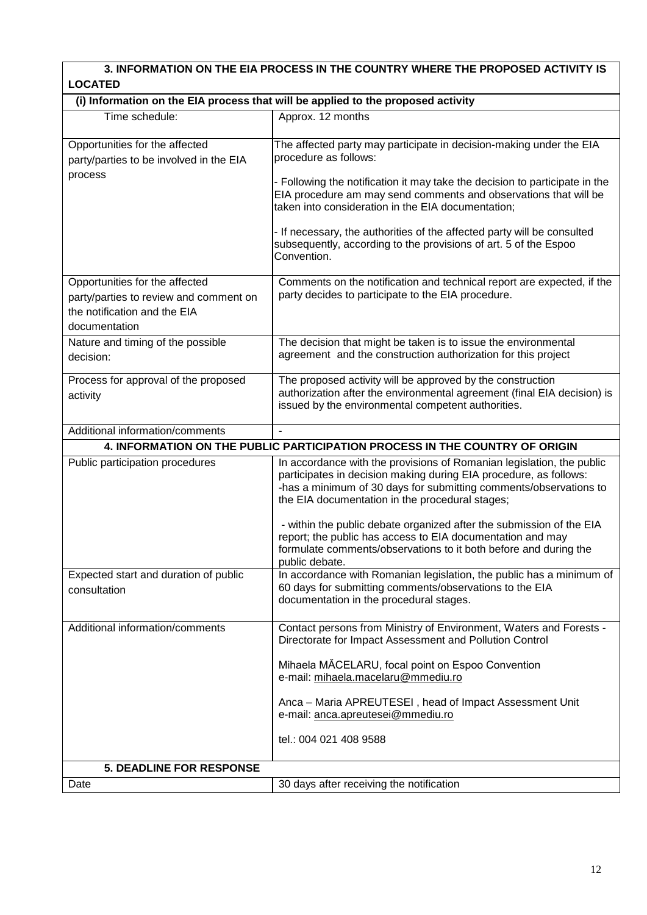# **3. INFORMATION ON THE EIA PROCESS IN THE COUNTRY WHERE THE PROPOSED ACTIVITY IS LOCATED**

| (i) Information on the EIA process that will be applied to the proposed activity                                          |                                                                                                                                                                                                                                                                                                                                                                                                                                                                                                |  |
|---------------------------------------------------------------------------------------------------------------------------|------------------------------------------------------------------------------------------------------------------------------------------------------------------------------------------------------------------------------------------------------------------------------------------------------------------------------------------------------------------------------------------------------------------------------------------------------------------------------------------------|--|
| Time schedule:                                                                                                            | Approx. 12 months                                                                                                                                                                                                                                                                                                                                                                                                                                                                              |  |
| Opportunities for the affected<br>party/parties to be involved in the EIA<br>process                                      | The affected party may participate in decision-making under the EIA<br>procedure as follows:<br>- Following the notification it may take the decision to participate in the<br>EIA procedure am may send comments and observations that will be<br>taken into consideration in the EIA documentation;<br>- If necessary, the authorities of the affected party will be consulted<br>subsequently, according to the provisions of art. 5 of the Espoo<br>Convention.                            |  |
| Opportunities for the affected<br>party/parties to review and comment on<br>the notification and the EIA<br>documentation | Comments on the notification and technical report are expected, if the<br>party decides to participate to the EIA procedure.                                                                                                                                                                                                                                                                                                                                                                   |  |
| Nature and timing of the possible<br>decision:                                                                            | The decision that might be taken is to issue the environmental<br>agreement and the construction authorization for this project                                                                                                                                                                                                                                                                                                                                                                |  |
| Process for approval of the proposed<br>activity                                                                          | The proposed activity will be approved by the construction<br>authorization after the environmental agreement (final EIA decision) is<br>issued by the environmental competent authorities.                                                                                                                                                                                                                                                                                                    |  |
| Additional information/comments                                                                                           | $\blacksquare$                                                                                                                                                                                                                                                                                                                                                                                                                                                                                 |  |
|                                                                                                                           | 4. INFORMATION ON THE PUBLIC PARTICIPATION PROCESS IN THE COUNTRY OF ORIGIN                                                                                                                                                                                                                                                                                                                                                                                                                    |  |
| Public participation procedures                                                                                           | In accordance with the provisions of Romanian legislation, the public<br>participates in decision making during EIA procedure, as follows:<br>-has a minimum of 30 days for submitting comments/observations to<br>the EIA documentation in the procedural stages;<br>- within the public debate organized after the submission of the EIA<br>report; the public has access to EIA documentation and may<br>formulate comments/observations to it both before and during the<br>public debate. |  |
| Expected start and duration of public<br>consultation                                                                     | In accordance with Romanian legislation, the public has a minimum of<br>60 days for submitting comments/observations to the EIA<br>documentation in the procedural stages.                                                                                                                                                                                                                                                                                                                     |  |
| Additional information/comments                                                                                           | Contact persons from Ministry of Environment, Waters and Forests -<br>Directorate for Impact Assessment and Pollution Control<br>Mihaela MĂCELARU, focal point on Espoo Convention<br>e-mail: mihaela.macelaru@mmediu.ro<br>Anca - Maria APREUTESEI, head of Impact Assessment Unit<br>e-mail: anca.apreutesei@mmediu.ro<br>tel.: 004 021 408 9588                                                                                                                                             |  |
| <b>5. DEADLINE FOR RESPONSE</b>                                                                                           |                                                                                                                                                                                                                                                                                                                                                                                                                                                                                                |  |
| Date                                                                                                                      | 30 days after receiving the notification                                                                                                                                                                                                                                                                                                                                                                                                                                                       |  |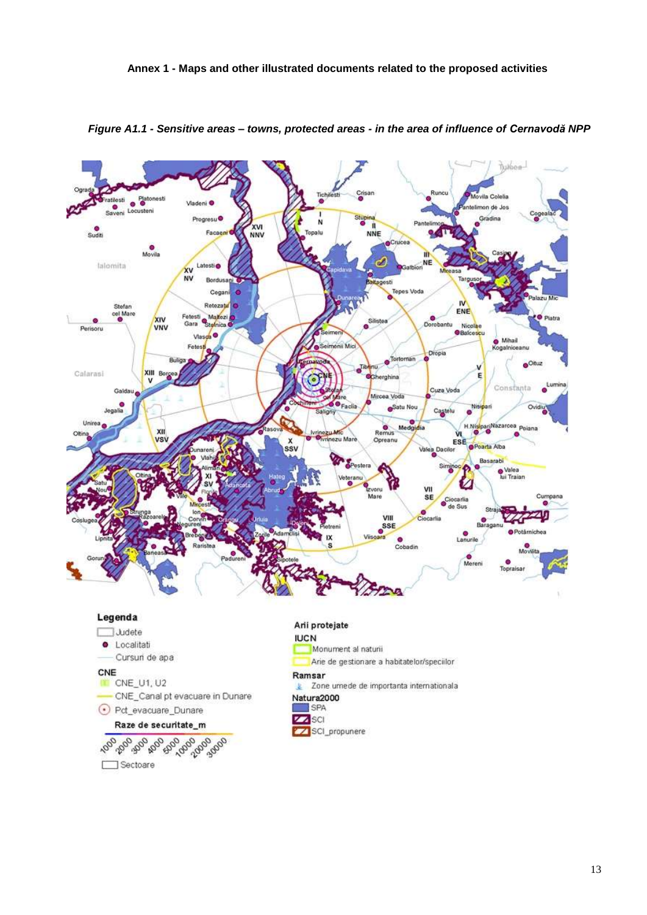

*Figure A1.1 - Sensitive areas – towns, protected areas - in the area of influence of Cernavodă NPP*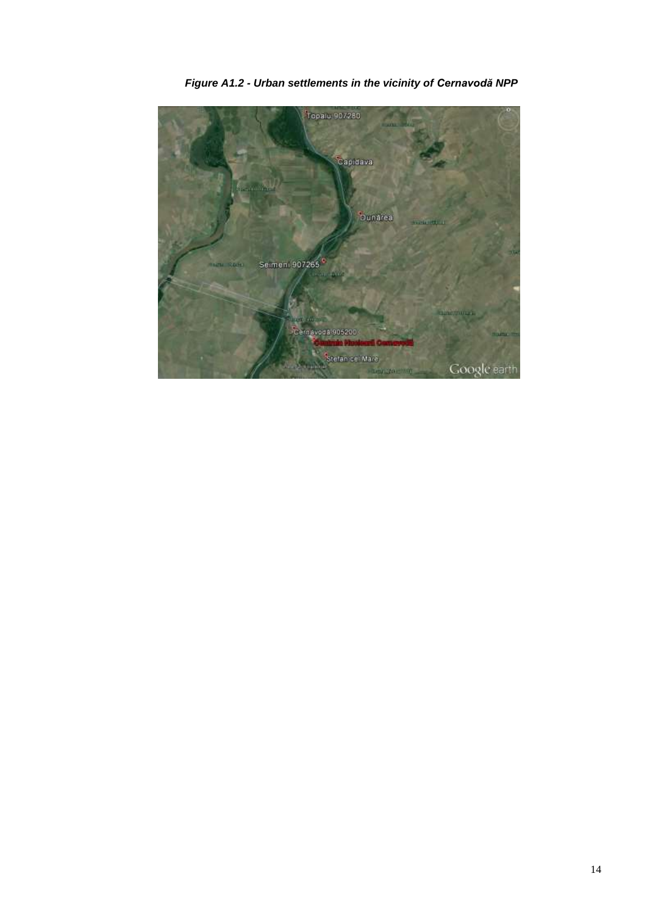

*Figure A1.2 - Urban settlements in the vicinity of Cernavodă NPP*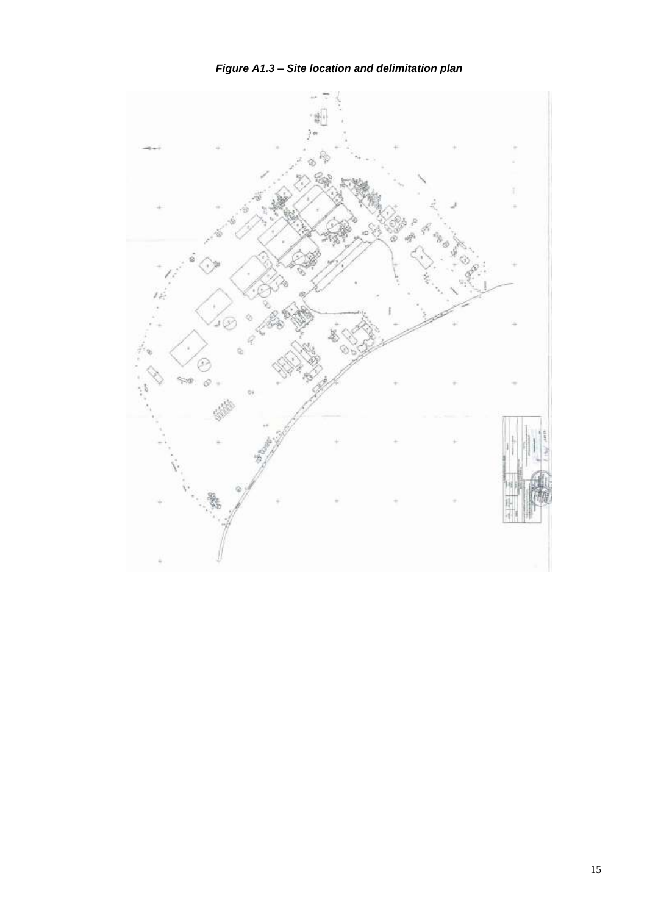

*Figure A1.3 – Site location and delimitation plan*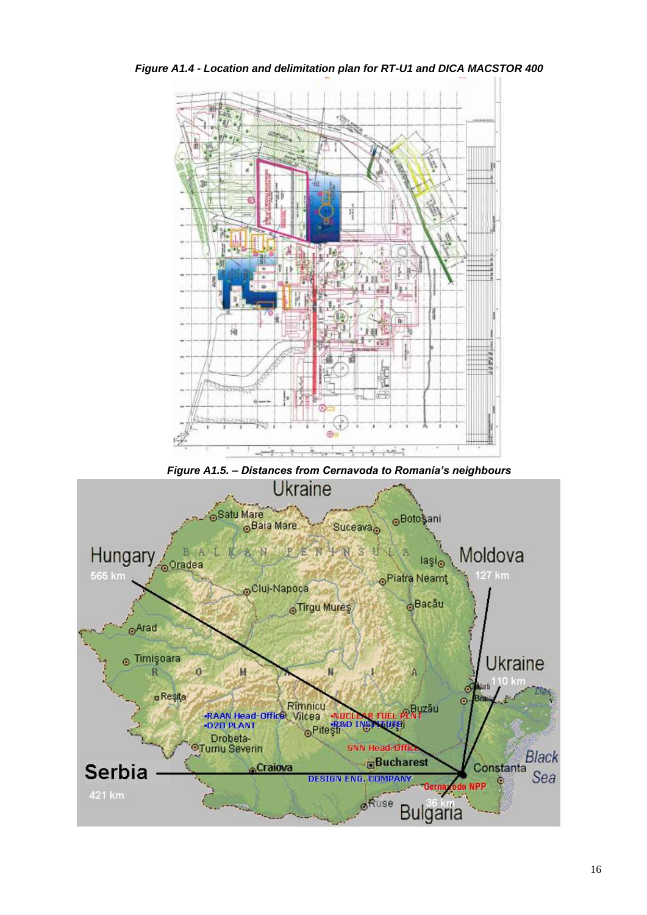

*Figure A1.4 - Location and delimitation plan for RT-U1 and DICA MACSTOR 400*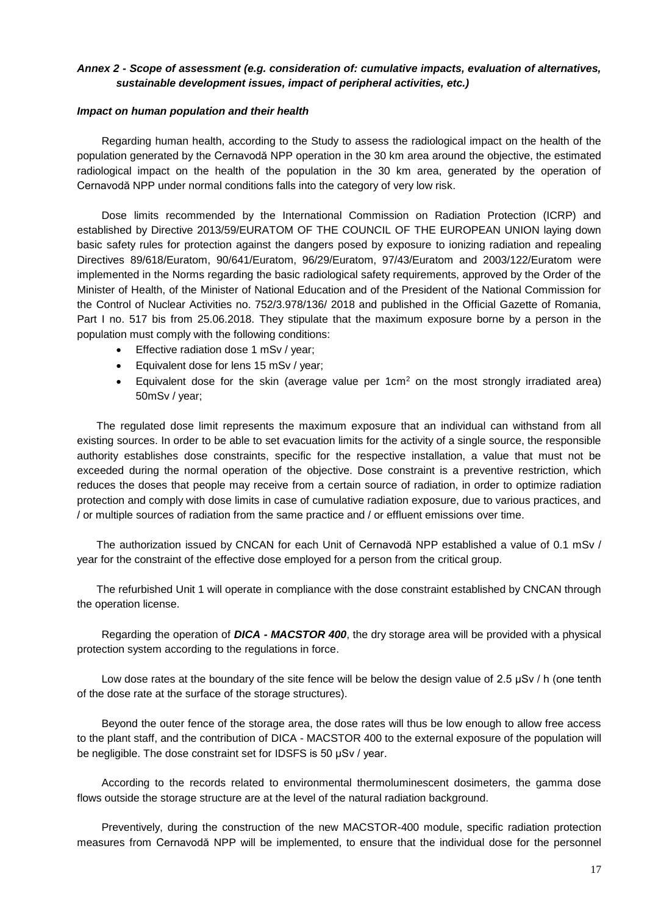# *Annex 2 - Scope of assessment (e.g. consideration of: cumulative impacts, evaluation of alternatives, sustainable development issues, impact of peripheral activities, etc.)*

### *Impact on human population and their health*

Regarding human health, according to the Study to assess the radiological impact on the health of the population generated by the Cernavodă NPP operation in the 30 km area around the objective, the estimated radiological impact on the health of the population in the 30 km area, generated by the operation of Cernavodă NPP under normal conditions falls into the category of very low risk.

Dose limits recommended by the International Commission on Radiation Protection (ICRP) and established by Directive 2013/59/EURATOM OF THE COUNCIL OF THE EUROPEAN UNION laying down basic safety rules for protection against the dangers posed by exposure to ionizing radiation and repealing Directives 89/618/Euratom, 90/641/Euratom, 96/29/Euratom, 97/43/Euratom and 2003/122/Euratom were implemented in the Norms regarding the basic radiological safety requirements, approved by the Order of the Minister of Health, of the Minister of National Education and of the President of the National Commission for the Control of Nuclear Activities no. 752/3.978/136/ 2018 and published in the Official Gazette of Romania, Part I no. 517 bis from 25.06.2018. They stipulate that the maximum exposure borne by a person in the population must comply with the following conditions:

- **Effective radiation dose 1 mSv / year;**
- **Equivalent dose for lens 15 mSv / year:**
- Equivalent dose for the skin (average value per  $1 \text{cm}^2$  on the most strongly irradiated area) 50mSv / year;

The regulated dose limit represents the maximum exposure that an individual can withstand from all existing sources. In order to be able to set evacuation limits for the activity of a single source, the responsible authority establishes dose constraints, specific for the respective installation, a value that must not be exceeded during the normal operation of the objective. Dose constraint is a preventive restriction, which reduces the doses that people may receive from a certain source of radiation, in order to optimize radiation protection and comply with dose limits in case of cumulative radiation exposure, due to various practices, and / or multiple sources of radiation from the same practice and / or effluent emissions over time.

The authorization issued by CNCAN for each Unit of Cernavodă NPP established a value of 0.1 mSv / year for the constraint of the effective dose employed for a person from the critical group.

The refurbished Unit 1 will operate in compliance with the dose constraint established by CNCAN through the operation license.

Regarding the operation of *DICA - MACSTOR 400*, the dry storage area will be provided with a physical protection system according to the regulations in force.

Low dose rates at the boundary of the site fence will be below the design value of 2.5 μSv / h (one tenth of the dose rate at the surface of the storage structures).

Beyond the outer fence of the storage area, the dose rates will thus be low enough to allow free access to the plant staff, and the contribution of DICA - MACSTOR 400 to the external exposure of the population will be negligible. The dose constraint set for IDSFS is 50 μSv / year.

According to the records related to environmental thermoluminescent dosimeters, the gamma dose flows outside the storage structure are at the level of the natural radiation background.

Preventively, during the construction of the new MACSTOR-400 module, specific radiation protection measures from Cernavodă NPP will be implemented, to ensure that the individual dose for the personnel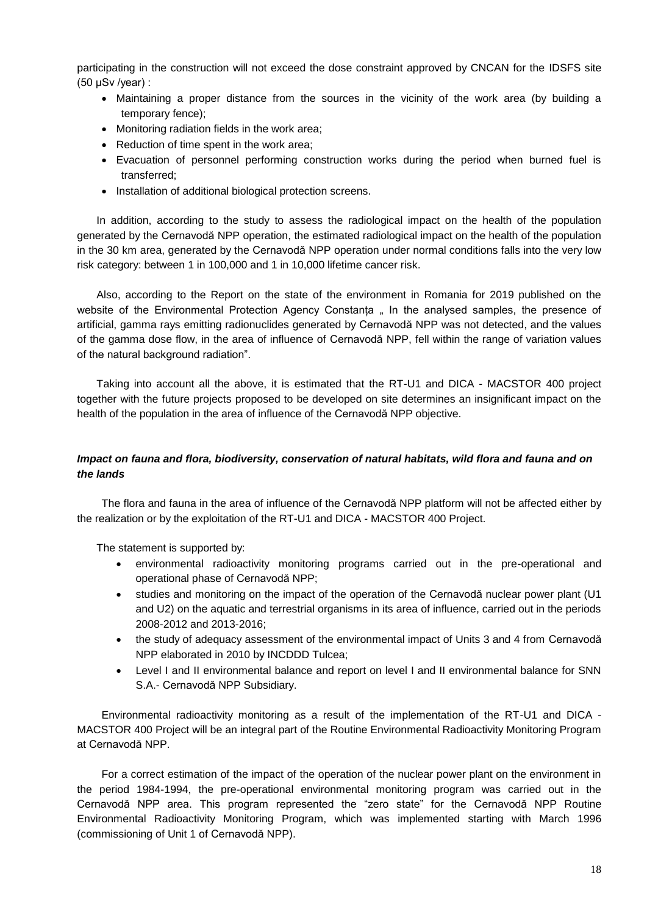participating in the construction will not exceed the dose constraint approved by CNCAN for the IDSFS site (50 μSv /year) :

- Maintaining a proper distance from the sources in the vicinity of the work area (by building a temporary fence);
- Monitoring radiation fields in the work area;
- Reduction of time spent in the work area;
- Evacuation of personnel performing construction works during the period when burned fuel is transferred;
- Installation of additional biological protection screens.

In addition, according to the study to assess the radiological impact on the health of the population generated by the Cernavodă NPP operation, the estimated radiological impact on the health of the population in the 30 km area, generated by the Cernavodă NPP operation under normal conditions falls into the very low risk category: between 1 in 100,000 and 1 in 10,000 lifetime cancer risk.

Also, according to the Report on the state of the environment in Romania for 2019 published on the website of the Environmental Protection Agency Constanta " In the analysed samples, the presence of artificial, gamma rays emitting radionuclides generated by Cernavodă NPP was not detected, and the values of the gamma dose flow, in the area of influence of Cernavodă NPP, fell within the range of variation values of the natural background radiation".

Taking into account all the above, it is estimated that the RT-U1 and DICA - MACSTOR 400 project together with the future projects proposed to be developed on site determines an insignificant impact on the health of the population in the area of influence of the Cernavodă NPP objective.

# *Impact on fauna and flora, biodiversity, conservation of natural habitats, wild flora and fauna and on the lands*

The flora and fauna in the area of influence of the Cernavodă NPP platform will not be affected either by the realization or by the exploitation of the RT-U1 and DICA - MACSTOR 400 Project.

The statement is supported by:

- environmental radioactivity monitoring programs carried out in the pre-operational and operational phase of Cernavodă NPP;
- studies and monitoring on the impact of the operation of the Cernavodă nuclear power plant (U1 and U2) on the aquatic and terrestrial organisms in its area of influence, carried out in the periods 2008-2012 and 2013-2016;
- the study of adequacy assessment of the environmental impact of Units 3 and 4 from Cernavodă NPP elaborated in 2010 by INCDDD Tulcea;
- Level I and II environmental balance and report on level I and II environmental balance for SNN S.A.- Cernavodă NPP Subsidiary.

Environmental radioactivity monitoring as a result of the implementation of the RT-U1 and DICA - MACSTOR 400 Project will be an integral part of the Routine Environmental Radioactivity Monitoring Program at Cernavodă NPP.

For a correct estimation of the impact of the operation of the nuclear power plant on the environment in the period 1984-1994, the pre-operational environmental monitoring program was carried out in the Cernavodă NPP area. This program represented the "zero state" for the Cernavodă NPP Routine Environmental Radioactivity Monitoring Program, which was implemented starting with March 1996 (commissioning of Unit 1 of Cernavodă NPP).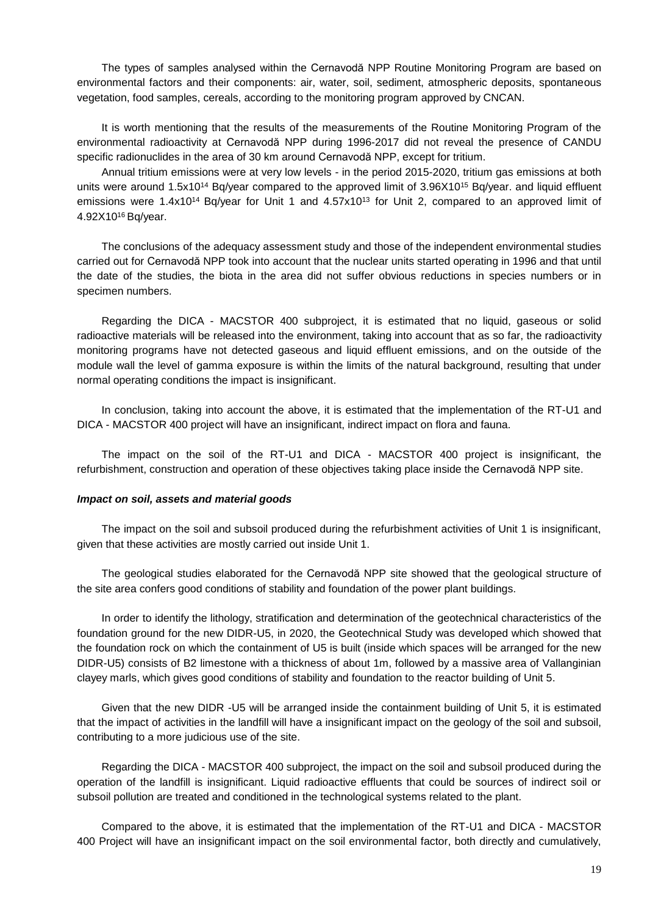The types of samples analysed within the Cernavodă NPP Routine Monitoring Program are based on environmental factors and their components: air, water, soil, sediment, atmospheric deposits, spontaneous vegetation, food samples, cereals, according to the monitoring program approved by CNCAN.

It is worth mentioning that the results of the measurements of the Routine Monitoring Program of the environmental radioactivity at Cernavodă NPP during 1996-2017 did not reveal the presence of CANDU specific radionuclides in the area of 30 km around Cernavodă NPP, except for tritium.

Annual tritium emissions were at very low levels - in the period 2015-2020, tritium gas emissions at both units were around 1.5x10<sup>14</sup> Bq/year compared to the approved limit of 3.96X10<sup>15</sup> Bq/year. and liquid effluent emissions were 1.4x10<sup>14</sup> Bq/year for Unit 1 and  $4.57x10^{13}$  for Unit 2, compared to an approved limit of 4.92X10<sup>16</sup> Bq/year.

The conclusions of the adequacy assessment study and those of the independent environmental studies carried out for Cernavodă NPP took into account that the nuclear units started operating in 1996 and that until the date of the studies, the biota in the area did not suffer obvious reductions in species numbers or in specimen numbers.

Regarding the DICA - MACSTOR 400 subproject, it is estimated that no liquid, gaseous or solid radioactive materials will be released into the environment, taking into account that as so far, the radioactivity monitoring programs have not detected gaseous and liquid effluent emissions, and on the outside of the module wall the level of gamma exposure is within the limits of the natural background, resulting that under normal operating conditions the impact is insignificant.

In conclusion, taking into account the above, it is estimated that the implementation of the RT-U1 and DICA - MACSTOR 400 project will have an insignificant, indirect impact on flora and fauna.

The impact on the soil of the RT-U1 and DICA - MACSTOR 400 project is insignificant, the refurbishment, construction and operation of these objectives taking place inside the Cernavodă NPP site.

#### *Impact on soil, assets and material goods*

The impact on the soil and subsoil produced during the refurbishment activities of Unit 1 is insignificant, given that these activities are mostly carried out inside Unit 1.

The geological studies elaborated for the Cernavodă NPP site showed that the geological structure of the site area confers good conditions of stability and foundation of the power plant buildings.

In order to identify the lithology, stratification and determination of the geotechnical characteristics of the foundation ground for the new DIDR-U5, in 2020, the Geotechnical Study was developed which showed that the foundation rock on which the containment of U5 is built (inside which spaces will be arranged for the new DIDR-U5) consists of B2 limestone with a thickness of about 1m, followed by a massive area of Vallanginian clayey marls, which gives good conditions of stability and foundation to the reactor building of Unit 5.

Given that the new DIDR -U5 will be arranged inside the containment building of Unit 5, it is estimated that the impact of activities in the landfill will have a insignificant impact on the geology of the soil and subsoil, contributing to a more judicious use of the site.

Regarding the DICA - MACSTOR 400 subproject, the impact on the soil and subsoil produced during the operation of the landfill is insignificant. Liquid radioactive effluents that could be sources of indirect soil or subsoil pollution are treated and conditioned in the technological systems related to the plant.

Compared to the above, it is estimated that the implementation of the RT-U1 and DICA - MACSTOR 400 Project will have an insignificant impact on the soil environmental factor, both directly and cumulatively,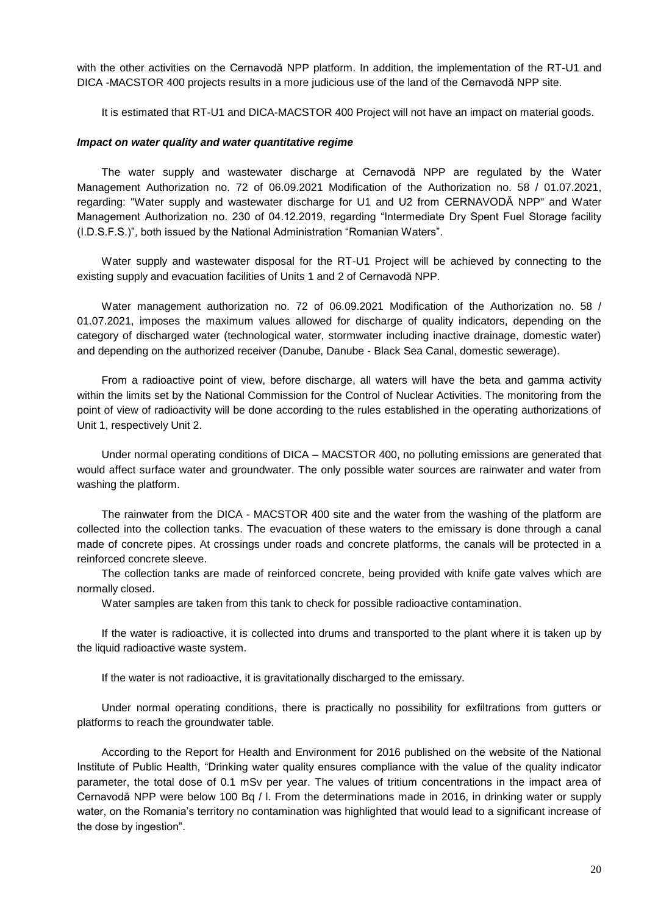with the other activities on the Cernavodă NPP platform. In addition, the implementation of the RT-U1 and DICA -MACSTOR 400 projects results in a more judicious use of the land of the Cernavodă NPP site.

It is estimated that RT-U1 and DICA-MACSTOR 400 Project will not have an impact on material goods.

#### *Impact on water quality and water quantitative regime*

The water supply and wastewater discharge at Cernavodă NPP are regulated by the Water Management Authorization no. 72 of 06.09.2021 Modification of the Authorization no. 58 / 01.07.2021, regarding: "Water supply and wastewater discharge for U1 and U2 from CERNAVODĂ NPP" and Water Management Authorization no. 230 of 04.12.2019, regarding "Intermediate Dry Spent Fuel Storage facility (I.D.S.F.S.)", both issued by the National Administration "Romanian Waters".

Water supply and wastewater disposal for the RT-U1 Project will be achieved by connecting to the existing supply and evacuation facilities of Units 1 and 2 of Cernavodă NPP.

Water management authorization no. 72 of 06.09.2021 Modification of the Authorization no. 58 / 01.07.2021, imposes the maximum values allowed for discharge of quality indicators, depending on the category of discharged water (technological water, stormwater including inactive drainage, domestic water) and depending on the authorized receiver (Danube, Danube - Black Sea Canal, domestic sewerage).

From a radioactive point of view, before discharge, all waters will have the beta and gamma activity within the limits set by the National Commission for the Control of Nuclear Activities. The monitoring from the point of view of radioactivity will be done according to the rules established in the operating authorizations of Unit 1, respectively Unit 2.

Under normal operating conditions of DICA – MACSTOR 400, no polluting emissions are generated that would affect surface water and groundwater. The only possible water sources are rainwater and water from washing the platform.

The rainwater from the DICA - MACSTOR 400 site and the water from the washing of the platform are collected into the collection tanks. The evacuation of these waters to the emissary is done through a canal made of concrete pipes. At crossings under roads and concrete platforms, the canals will be protected in a reinforced concrete sleeve.

The collection tanks are made of reinforced concrete, being provided with knife gate valves which are normally closed.

Water samples are taken from this tank to check for possible radioactive contamination.

If the water is radioactive, it is collected into drums and transported to the plant where it is taken up by the liquid radioactive waste system.

If the water is not radioactive, it is gravitationally discharged to the emissary.

Under normal operating conditions, there is practically no possibility for exfiltrations from gutters or platforms to reach the groundwater table.

According to the Report for Health and Environment for 2016 published on the website of the National Institute of Public Health, "Drinking water quality ensures compliance with the value of the quality indicator parameter, the total dose of 0.1 mSv per year. The values of tritium concentrations in the impact area of Cernavodă NPP were below 100 Bq / l. From the determinations made in 2016, in drinking water or supply water, on the Romania's territory no contamination was highlighted that would lead to a significant increase of the dose by ingestion".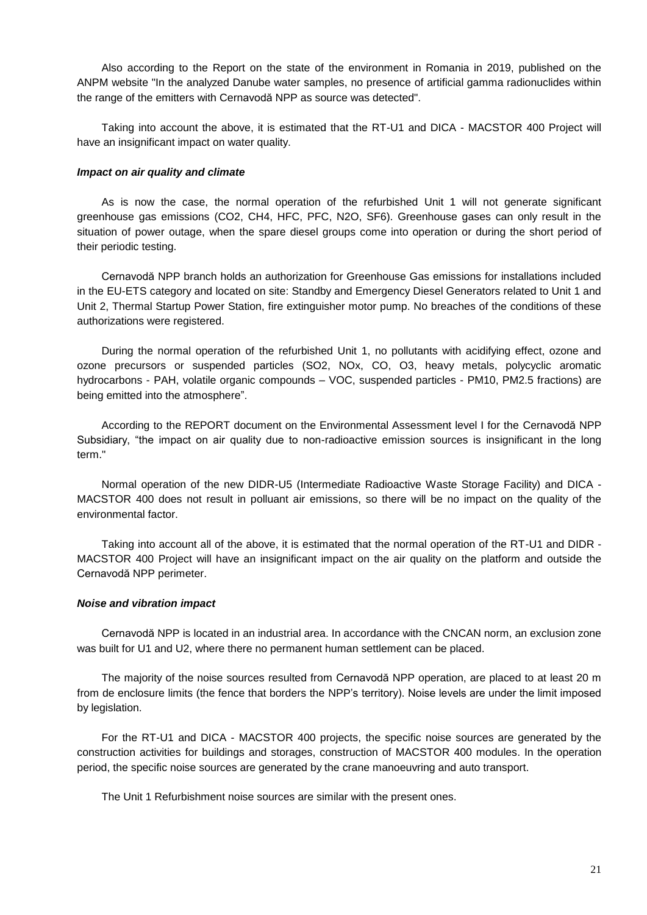Also according to the Report on the state of the environment in Romania in 2019, published on the ANPM website "In the analyzed Danube water samples, no presence of artificial gamma radionuclides within the range of the emitters with Cernavodă NPP as source was detected".

Taking into account the above, it is estimated that the RT-U1 and DICA - MACSTOR 400 Project will have an insignificant impact on water quality.

### *Impact on air quality and climate*

As is now the case, the normal operation of the refurbished Unit 1 will not generate significant greenhouse gas emissions (CO2, CH4, HFC, PFC, N2O, SF6). Greenhouse gases can only result in the situation of power outage, when the spare diesel groups come into operation or during the short period of their periodic testing.

Cernavodă NPP branch holds an authorization for Greenhouse Gas emissions for installations included in the EU-ETS category and located on site: Standby and Emergency Diesel Generators related to Unit 1 and Unit 2, Thermal Startup Power Station, fire extinguisher motor pump. No breaches of the conditions of these authorizations were registered.

During the normal operation of the refurbished Unit 1, no pollutants with acidifying effect, ozone and ozone precursors or suspended particles (SO2, NOx, CO, O3, heavy metals, polycyclic aromatic hydrocarbons - PAH, volatile organic compounds – VOC, suspended particles - PM10, PM2.5 fractions) are being emitted into the atmosphere".

According to the REPORT document on the Environmental Assessment level I for the Cernavodă NPP Subsidiary, "the impact on air quality due to non-radioactive emission sources is insignificant in the long term."

Normal operation of the new DIDR-U5 (Intermediate Radioactive Waste Storage Facility) and DICA - MACSTOR 400 does not result in polluant air emissions, so there will be no impact on the quality of the environmental factor.

Taking into account all of the above, it is estimated that the normal operation of the RT-U1 and DIDR - MACSTOR 400 Project will have an insignificant impact on the air quality on the platform and outside the Cernavodă NPP perimeter.

### *Noise and vibration impact*

Cernavodă NPP is located in an industrial area. In accordance with the CNCAN norm, an exclusion zone was built for U1 and U2, where there no permanent human settlement can be placed.

The majority of the noise sources resulted from Cernavodă NPP operation, are placed to at least 20 m from de enclosure limits (the fence that borders the NPP's territory). Noise levels are under the limit imposed by legislation.

For the RT-U1 and DICA - MACSTOR 400 projects, the specific noise sources are generated by the construction activities for buildings and storages, construction of MACSTOR 400 modules. In the operation period, the specific noise sources are generated by the crane manoeuvring and auto transport.

The Unit 1 Refurbishment noise sources are similar with the present ones.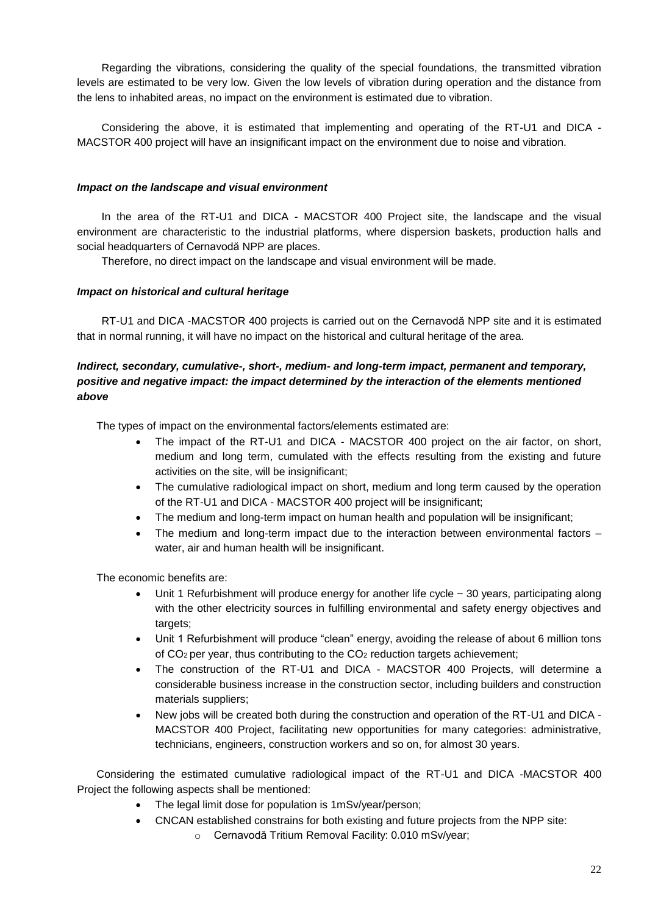Regarding the vibrations, considering the quality of the special foundations, the transmitted vibration levels are estimated to be very low. Given the low levels of vibration during operation and the distance from the lens to inhabited areas, no impact on the environment is estimated due to vibration.

Considering the above, it is estimated that implementing and operating of the RT-U1 and DICA - MACSTOR 400 project will have an insignificant impact on the environment due to noise and vibration.

# *Impact on the landscape and visual environment*

In the area of the RT-U1 and DICA - MACSTOR 400 Project site, the landscape and the visual environment are characteristic to the industrial platforms, where dispersion baskets, production halls and social headquarters of Cernavodă NPP are places.

Therefore, no direct impact on the landscape and visual environment will be made.

# *Impact on historical and cultural heritage*

RT-U1 and DICA -MACSTOR 400 projects is carried out on the Cernavodă NPP site and it is estimated that in normal running, it will have no impact on the historical and cultural heritage of the area.

# *Indirect, secondary, cumulative-, short-, medium- and long-term impact, permanent and temporary, positive and negative impact: the impact determined by the interaction of the elements mentioned above*

The types of impact on the environmental factors/elements estimated are:

- The impact of the RT-U1 and DICA MACSTOR 400 project on the air factor, on short, medium and long term, cumulated with the effects resulting from the existing and future activities on the site, will be insignificant;
- The cumulative radiological impact on short, medium and long term caused by the operation of the RT-U1 and DICA - MACSTOR 400 project will be insignificant;
- The medium and long-term impact on human health and population will be insignificant;
- The medium and long-term impact due to the interaction between environmental factors water, air and human health will be insignificant.

The economic benefits are:

- Unit 1 Refurbishment will produce energy for another life cycle ~ 30 years, participating along with the other electricity sources in fulfilling environmental and safety energy objectives and targets;
- Unit 1 Refurbishment will produce "clean" energy, avoiding the release of about 6 million tons of  $CO<sub>2</sub>$  per year, thus contributing to the  $CO<sub>2</sub>$  reduction targets achievement;
- The construction of the RT-U1 and DICA MACSTOR 400 Projects, will determine a considerable business increase in the construction sector, including builders and construction materials suppliers;
- New jobs will be created both during the construction and operation of the RT-U1 and DICA MACSTOR 400 Project, facilitating new opportunities for many categories: administrative, technicians, engineers, construction workers and so on, for almost 30 years.

Considering the estimated cumulative radiological impact of the RT-U1 and DICA -MACSTOR 400 Project the following aspects shall be mentioned:

- The legal limit dose for population is 1mSv/year/person;
- CNCAN established constrains for both existing and future projects from the NPP site:
	- o Cernavodă Tritium Removal Facility: 0.010 mSv/year;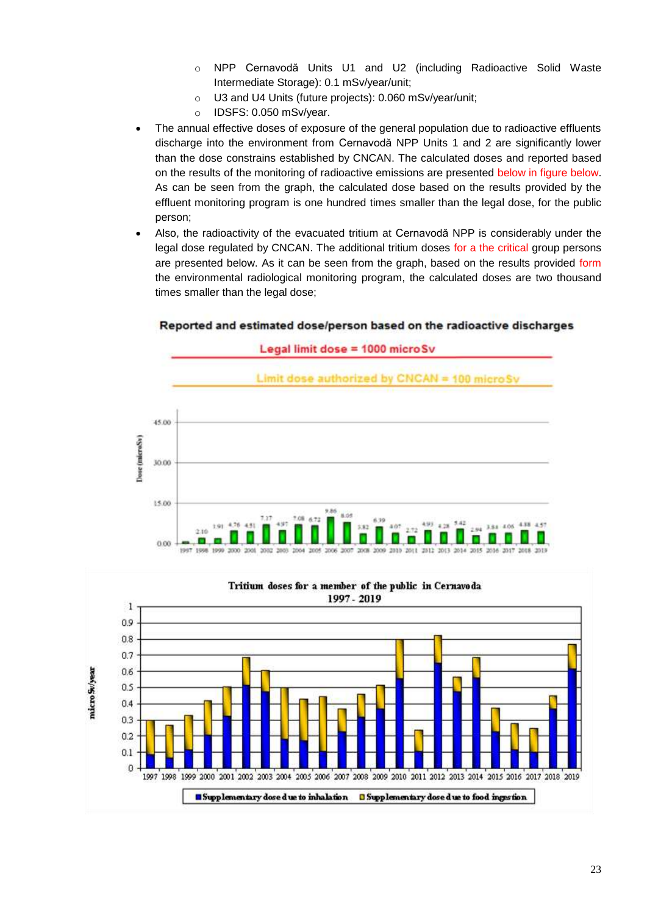- o NPP Cernavodă Units U1 and U2 (including Radioactive Solid Waste Intermediate Storage): 0.1 mSv/year/unit;
- o U3 and U4 Units (future projects): 0.060 mSv/year/unit;
- o IDSFS: 0.050 mSv/year.
- The annual effective doses of exposure of the general population due to radioactive effluents discharge into the environment from Cernavodă NPP Units 1 and 2 are significantly lower than the dose constrains established by CNCAN. The calculated doses and reported based on the results of the monitoring of radioactive emissions are presented below in figure below. As can be seen from the graph, the calculated dose based on the results provided by the effluent monitoring program is one hundred times smaller than the legal dose, for the public person;
- Also, the radioactivity of the evacuated tritium at Cernavodă NPP is considerably under the legal dose regulated by CNCAN. The additional tritium doses for a the critical group persons are presented below. As it can be seen from the graph, based on the results provided form the environmental radiological monitoring program, the calculated doses are two thousand times smaller than the legal dose;

# Reported and estimated dose/person based on the radioactive discharges



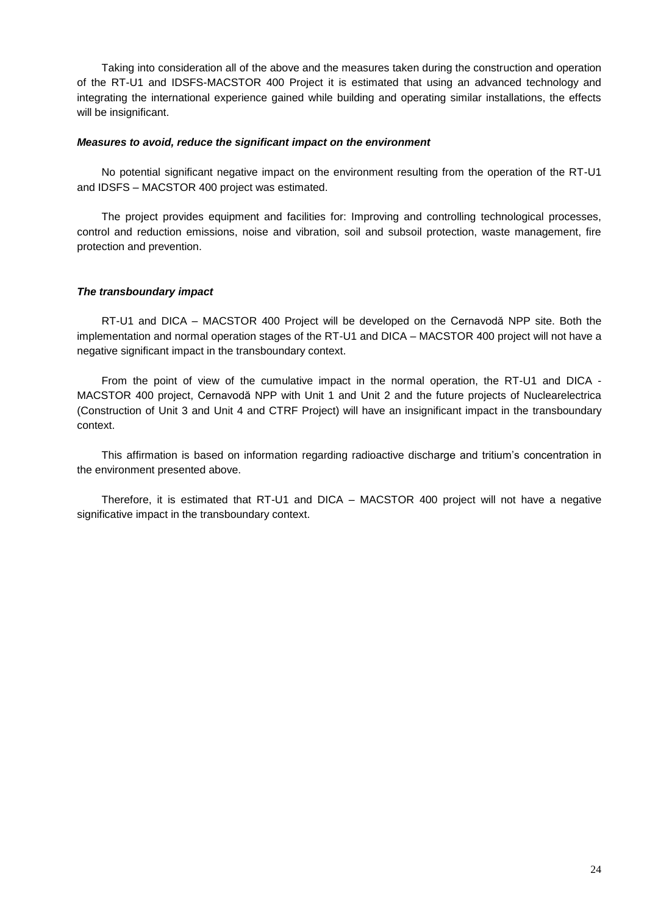Taking into consideration all of the above and the measures taken during the construction and operation of the RT-U1 and IDSFS-MACSTOR 400 Project it is estimated that using an advanced technology and integrating the international experience gained while building and operating similar installations, the effects will be insignificant.

### *Measures to avoid, reduce the significant impact on the environment*

No potential significant negative impact on the environment resulting from the operation of the RT-U1 and IDSFS – MACSTOR 400 project was estimated.

The project provides equipment and facilities for: Improving and controlling technological processes, control and reduction emissions, noise and vibration, soil and subsoil protection, waste management, fire protection and prevention.

### *The transboundary impact*

RT-U1 and DICA – MACSTOR 400 Project will be developed on the Cernavodă NPP site. Both the implementation and normal operation stages of the RT-U1 and DICA – MACSTOR 400 project will not have a negative significant impact in the transboundary context.

From the point of view of the cumulative impact in the normal operation, the RT-U1 and DICA - MACSTOR 400 project, Cernavodă NPP with Unit 1 and Unit 2 and the future projects of Nuclearelectrica (Construction of Unit 3 and Unit 4 and CTRF Project) will have an insignificant impact in the transboundary context.

This affirmation is based on information regarding radioactive discharge and tritium's concentration in the environment presented above.

Therefore, it is estimated that RT-U1 and DICA – MACSTOR 400 project will not have a negative significative impact in the transboundary context.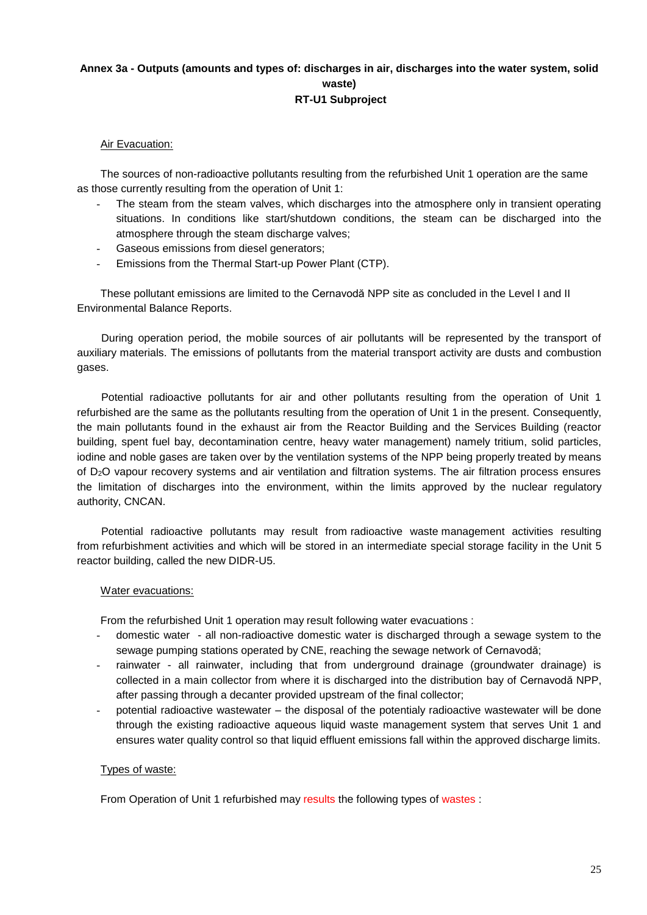# **Annex 3a - Outputs (amounts and types of: discharges in air, discharges into the water system, solid waste) RT-U1 Subproject**

# Air Evacuation:

The sources of non-radioactive pollutants resulting from the refurbished Unit 1 operation are the same as those currently resulting from the operation of Unit 1:

- The steam from the steam valves, which discharges into the atmosphere only in transient operating situations. In conditions like start/shutdown conditions, the steam can be discharged into the atmosphere through the steam discharge valves:
- Gaseous emissions from diesel generators;
- Emissions from the Thermal Start-up Power Plant (CTP).

These pollutant emissions are limited to the Cernavodă NPP site as concluded in the Level I and II Environmental Balance Reports.

During operation period, the mobile sources of air pollutants will be represented by the transport of auxiliary materials. The emissions of pollutants from the material transport activity are dusts and combustion gases.

Potential radioactive pollutants for air and other pollutants resulting from the operation of Unit 1 refurbished are the same as the pollutants resulting from the operation of Unit 1 in the present. Consequently, the main pollutants found in the exhaust air from the Reactor Building and the Services Building (reactor building, spent fuel bay, decontamination centre, heavy water management) namely tritium, solid particles, iodine and noble gases are taken over by the ventilation systems of the NPP being properly treated by means of D2O vapour recovery systems and air ventilation and filtration systems. The air filtration process ensures the limitation of discharges into the environment, within the limits approved by the nuclear regulatory authority, CNCAN.

Potential radioactive pollutants may result from radioactive waste management activities resulting from refurbishment activities and which will be stored in an intermediate special storage facility in the Unit 5 reactor building, called the new DIDR-U5.

## Water evacuations:

From the refurbished Unit 1 operation may result following water evacuations :

- domestic water all non-radioactive domestic water is discharged through a sewage system to the sewage pumping stations operated by CNE, reaching the sewage network of Cernavodă;
- rainwater all rainwater, including that from underground drainage (groundwater drainage) is collected in a main collector from where it is discharged into the distribution bay of Cernavodă NPP, after passing through a decanter provided upstream of the final collector;
- potential radioactive wastewater the disposal of the potentialy radioactive wastewater will be done through the existing radioactive aqueous liquid waste management system that serves Unit 1 and ensures water quality control so that liquid effluent emissions fall within the approved discharge limits.

## Types of waste:

From Operation of Unit 1 refurbished may results the following types of wastes :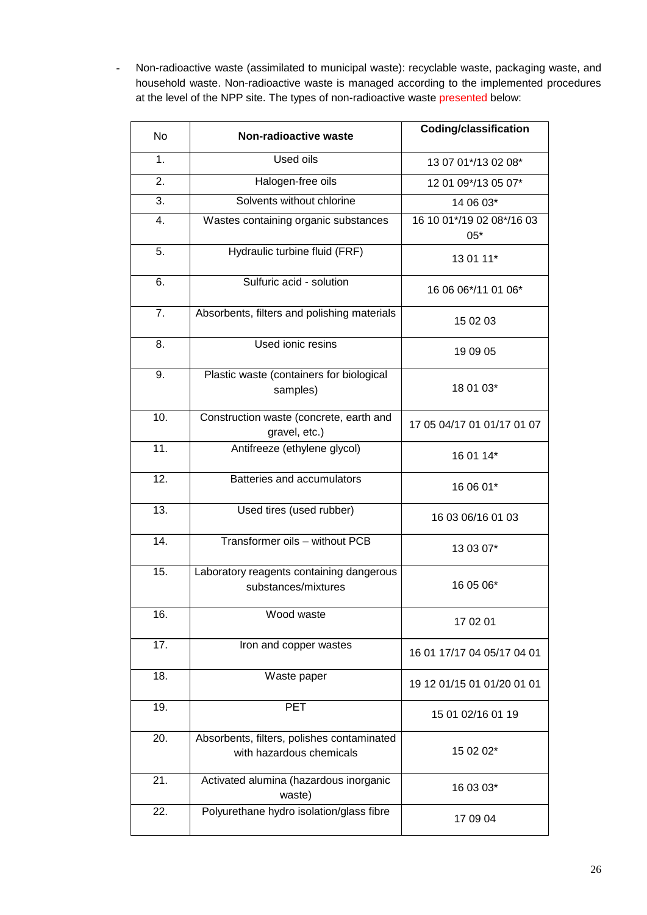- Non-radioactive waste (assimilated to municipal waste): recyclable waste, packaging waste, and household waste. Non-radioactive waste is managed according to the implemented procedures at the level of the NPP site. The types of non-radioactive waste presented below:

| <b>No</b>         | <b>Non-radioactive waste</b>                                                        | <b>Coding/classification</b>       |
|-------------------|-------------------------------------------------------------------------------------|------------------------------------|
| $\mathbf{1}$ .    | Used oils                                                                           | 13 07 01*/13 02 08*                |
| 2.                | Halogen-free oils                                                                   | 12 01 09*/13 05 07*                |
| 3.                | Solvents without chlorine                                                           | 14 06 03*                          |
| 4.                | Wastes containing organic substances                                                | 16 10 01*/19 02 08*/16 03<br>$05*$ |
| 5.                | Hydraulic turbine fluid (FRF)                                                       | 13 01 11*                          |
| 6.                | Sulfuric acid - solution                                                            | 16 06 06*/11 01 06*                |
| 7.                | Absorbents, filters and polishing materials                                         | 15 02 03                           |
| 8.                | Used ionic resins                                                                   | 19 09 05                           |
| 9.                | Plastic waste (containers for biological<br>samples)                                | 18 01 03*                          |
| 10.               | Construction waste (concrete, earth and<br>gravel, etc.)                            | 17 05 04/17 01 01/17 01 07         |
| 11.               | Antifreeze (ethylene glycol)                                                        | 16 01 14*                          |
| 12.               | Batteries and accumulators                                                          | 16 06 01*                          |
| $\overline{13}$ . | Used tires (used rubber)                                                            | 16 03 06/16 01 03                  |
| 14.               | Transformer oils - without PCB                                                      | 13 03 07*                          |
| 15.               | Laboratory reagents containing dangerous<br>substances/mixtures                     | 16 05 06*                          |
| 16.               | Wood waste                                                                          | 17 02 01                           |
| 17.               | Iron and copper wastes                                                              | 16 01 17/17 04 05/17 04 01         |
| 18.               | Waste paper                                                                         | 19 12 01/15 01 01/20 01 01         |
| 19.               | <b>PET</b>                                                                          | 15 01 02/16 01 19                  |
| 20.               | Absorbents, filters, polishes contaminated<br>15 02 02*<br>with hazardous chemicals |                                    |
| 21.               | Activated alumina (hazardous inorganic<br>waste)                                    | 16 03 03*                          |
| 22.               | Polyurethane hydro isolation/glass fibre                                            | 17 09 04                           |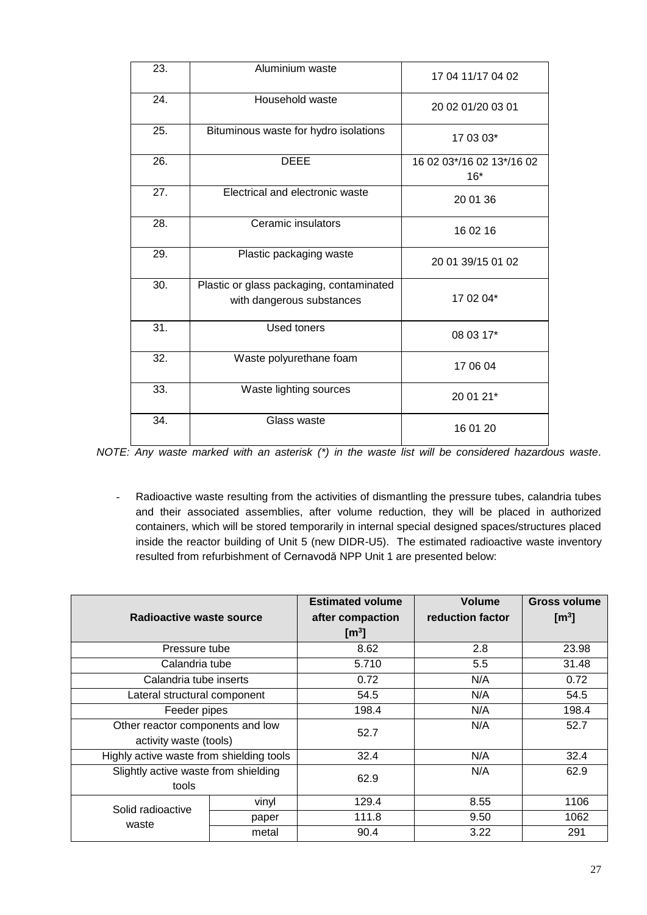| 23. | Aluminium waste                                                       | 17 04 11/17 04 02                  |
|-----|-----------------------------------------------------------------------|------------------------------------|
| 24. | Household waste                                                       | 20 02 01/20 03 01                  |
| 25. | Bituminous waste for hydro isolations                                 | 17 03 03*                          |
| 26. | <b>DEEE</b>                                                           | 16 02 03*/16 02 13*/16 02<br>$16*$ |
| 27. | Electrical and electronic waste                                       | 20 01 36                           |
| 28. | Ceramic insulators                                                    | 16 02 16                           |
| 29. | Plastic packaging waste                                               | 20 01 39/15 01 02                  |
| 30. | Plastic or glass packaging, contaminated<br>with dangerous substances | 17 02 04*                          |
| 31. | <b>Used toners</b>                                                    | 08 03 17*                          |
| 32. | Waste polyurethane foam<br>17 06 04                                   |                                    |
| 33. | Waste lighting sources<br>20 01 21*                                   |                                    |
| 34. | Glass waste                                                           | 16 01 20                           |

*NOTE: Any waste marked with an asterisk (\*) in the waste list will be considered hazardous waste.*

- Radioactive waste resulting from the activities of dismantling the pressure tubes, calandria tubes and their associated assemblies, after volume reduction, they will be placed in authorized containers, which will be stored temporarily in internal special designed spaces/structures placed inside the reactor building of Unit 5 (new DIDR-U5). The estimated radioactive waste inventory resulted from refurbishment of Cernavodă NPP Unit 1 are presented below:

|                                          |       | <b>Estimated volume</b> | <b>Volume</b>    | <b>Gross volume</b> |
|------------------------------------------|-------|-------------------------|------------------|---------------------|
| Radioactive waste source                 |       | after compaction        | reduction factor | $\mathbf{[m^3]}$    |
|                                          |       | $\mathbf{[m^3]}$        |                  |                     |
| Pressure tube                            |       | 8.62                    | 2.8              | 23.98               |
| Calandria tube                           |       | 5.710                   | 5.5              | 31.48               |
| Calandria tube inserts                   |       | 0.72                    | N/A              | 0.72                |
| Lateral structural component             |       | 54.5                    | N/A              | 54.5                |
| Feeder pipes                             |       | 198.4                   | N/A              | 198.4               |
| Other reactor components and low         |       | 52.7                    | N/A              | 52.7                |
| activity waste (tools)                   |       |                         |                  |                     |
| Highly active waste from shielding tools |       | 32.4                    | N/A              | 32.4                |
| Slightly active waste from shielding     |       | 62.9                    | N/A              | 62.9                |
| tools                                    |       |                         |                  |                     |
| Solid radioactive<br>waste               | vinyl | 129.4                   | 8.55             | 1106                |
|                                          | paper | 111.8                   | 9.50             | 1062                |
|                                          | metal | 90.4                    | 3.22             | 291                 |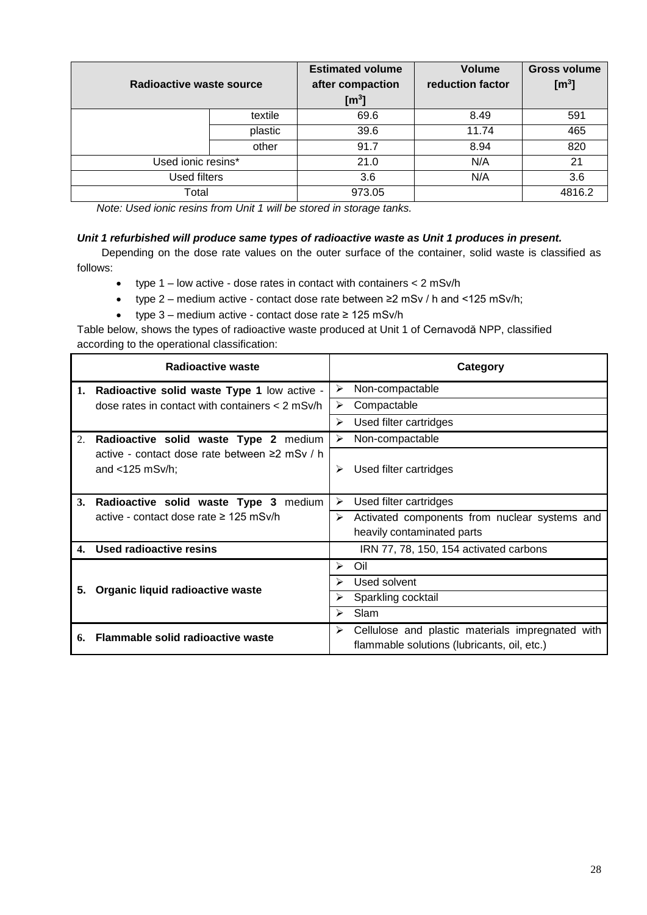| Radioactive waste source |         | <b>Estimated volume</b><br>after compaction<br>$\text{[m}^3\text{]}$ | <b>Volume</b><br>reduction factor | <b>Gross volume</b><br>$\mathbf{[m^3]}$ |
|--------------------------|---------|----------------------------------------------------------------------|-----------------------------------|-----------------------------------------|
|                          | textile | 69.6                                                                 | 8.49                              | 591                                     |
|                          | plastic | 39.6                                                                 | 11.74                             | 465                                     |
|                          | other   | 91.7                                                                 | 8.94                              | 820                                     |
| Used ionic resins*       |         | 21.0                                                                 | N/A                               | 21                                      |
| Used filters             |         | 3.6                                                                  | N/A                               | 3.6                                     |
| Total                    |         | 973.05                                                               |                                   | 4816.2                                  |

*Note: Used ionic resins from Unit 1 will be stored in storage tanks.* 

## *Unit 1 refurbished will produce same types of radioactive waste as Unit 1 produces in present.*

Depending on the dose rate values on the outer surface of the container, solid waste is classified as follows:

- type  $1$  low active dose rates in contact with containers  $<$  2 mSv/h
- type 2 medium active contact dose rate between ≥2 mSv / h and <125 mSv/h;
- type 3 medium active contact dose rate ≥ 125 mSv/h

Table below, shows the types of radioactive waste produced at Unit 1 of Cernavodă NPP, classified according to the operational classification:

|    | Radioactive waste                                                   | Category                                                                                             |
|----|---------------------------------------------------------------------|------------------------------------------------------------------------------------------------------|
|    | 1. Radioactive solid waste Type 1 low active -                      | Non-compactable<br>⋗                                                                                 |
|    | dose rates in contact with containers $<$ 2 mSv/h                   | Compactable<br>➤                                                                                     |
|    |                                                                     | Used filter cartridges<br>⋗                                                                          |
| 2. | Radioactive solid waste Type 2 medium                               | Non-compactable<br>⋗                                                                                 |
|    | active - contact dose rate between ≥2 mSv / h<br>and $<$ 125 mSv/h; | Used filter cartridges<br>⋗                                                                          |
| 3. | Radioactive solid waste Type 3 medium                               | Used filter cartridges<br>➤                                                                          |
|    | active - contact dose rate ≥ 125 mSv/h                              | Activated components from nuclear systems and<br>➤                                                   |
|    |                                                                     | heavily contaminated parts                                                                           |
| 4. | Used radioactive resins                                             | IRN 77, 78, 150, 154 activated carbons                                                               |
|    |                                                                     | Oil<br>➤                                                                                             |
| 5. | Organic liquid radioactive waste                                    | Used solvent<br>⋗                                                                                    |
|    |                                                                     | Sparkling cocktail<br>⋗                                                                              |
|    |                                                                     | Slam<br>⋗                                                                                            |
| 6. | Flammable solid radioactive waste                                   | Cellulose and plastic materials impregnated with<br>⋗<br>flammable solutions (lubricants, oil, etc.) |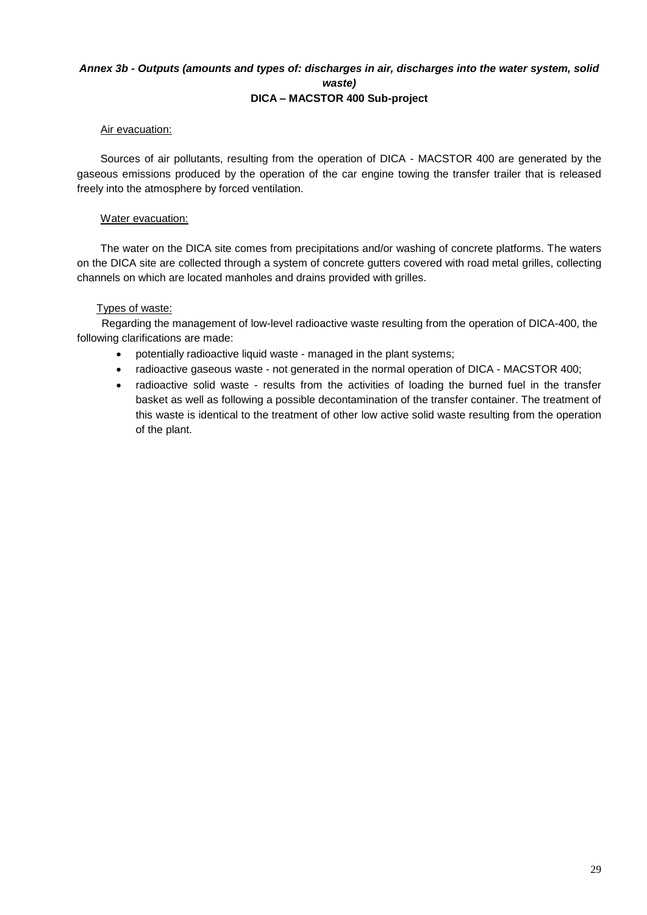# *Annex 3b - Outputs (amounts and types of: discharges in air, discharges into the water system, solid waste)* **DICA – MACSTOR 400 Sub-project**

# Air evacuation:

Sources of air pollutants, resulting from the operation of DICA - MACSTOR 400 are generated by the gaseous emissions produced by the operation of the car engine towing the transfer trailer that is released freely into the atmosphere by forced ventilation.

# Water evacuation:

The water on the DICA site comes from precipitations and/or washing of concrete platforms. The waters on the DICA site are collected through a system of concrete gutters covered with road metal grilles, collecting channels on which are located manholes and drains provided with grilles.

# Types of waste:

Regarding the management of low-level radioactive waste resulting from the operation of DICA-400, the following clarifications are made:

- potentially radioactive liquid waste managed in the plant systems;
- radioactive gaseous waste not generated in the normal operation of DICA MACSTOR 400;
- radioactive solid waste results from the activities of loading the burned fuel in the transfer basket as well as following a possible decontamination of the transfer container. The treatment of this waste is identical to the treatment of other low active solid waste resulting from the operation of the plant.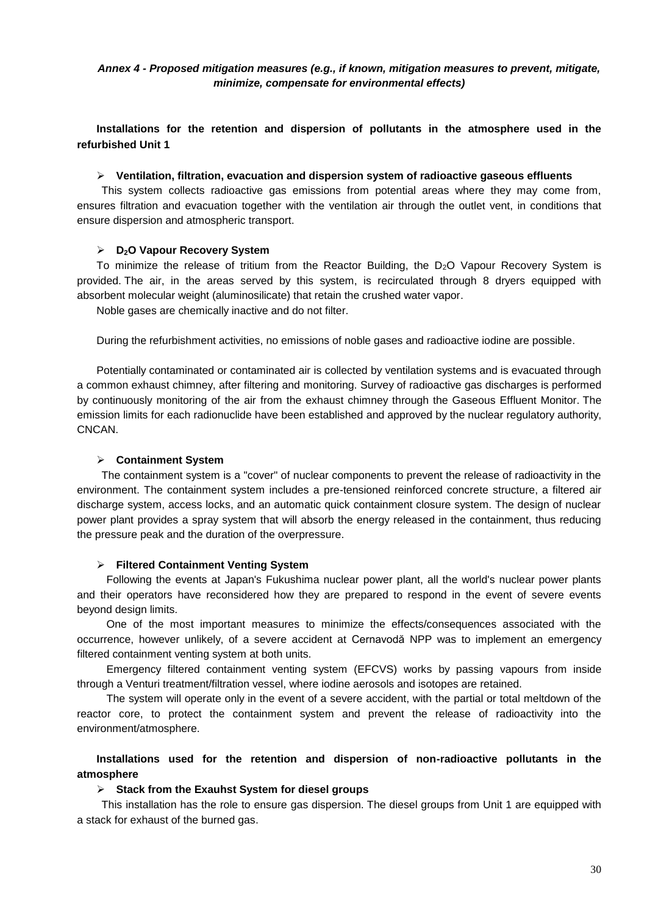# *Annex 4 - Proposed mitigation measures (e.g., if known, mitigation measures to prevent, mitigate, minimize, compensate for environmental effects)*

**Installations for the retention and dispersion of pollutants in the atmosphere used in the refurbished Unit 1**

### **Ventilation, filtration, evacuation and dispersion system of radioactive gaseous effluents**

This system collects radioactive gas emissions from potential areas where they may come from, ensures filtration and evacuation together with the ventilation air through the outlet vent, in conditions that ensure dispersion and atmospheric transport.

### **D2O Vapour Recovery System**

To minimize the release of tritium from the Reactor Building, the D<sub>2</sub>O Vapour Recovery System is provided. The air, in the areas served by this system, is recirculated through 8 dryers equipped with absorbent molecular weight (aluminosilicate) that retain the crushed water vapor.

Noble gases are chemically inactive and do not filter.

During the refurbishment activities, no emissions of noble gases and radioactive iodine are possible.

Potentially contaminated or contaminated air is collected by ventilation systems and is evacuated through a common exhaust chimney, after filtering and monitoring. Survey of radioactive gas discharges is performed by continuously monitoring of the air from the exhaust chimney through the Gaseous Effluent Monitor. The emission limits for each radionuclide have been established and approved by the nuclear regulatory authority, CNCAN.

### **Containment System**

The containment system is a "cover" of nuclear components to prevent the release of radioactivity in the environment. The containment system includes a pre-tensioned reinforced concrete structure, a filtered air discharge system, access locks, and an automatic quick containment closure system. The design of nuclear power plant provides a spray system that will absorb the energy released in the containment, thus reducing the pressure peak and the duration of the overpressure.

### **Filtered Containment Venting System**

Following the events at Japan's Fukushima nuclear power plant, all the world's nuclear power plants and their operators have reconsidered how they are prepared to respond in the event of severe events beyond design limits.

One of the most important measures to minimize the effects/consequences associated with the occurrence, however unlikely, of a severe accident at Cernavodă NPP was to implement an emergency filtered containment venting system at both units.

Emergency filtered containment venting system (EFCVS) works by passing vapours from inside through a Venturi treatment/filtration vessel, where iodine aerosols and isotopes are retained.

The system will operate only in the event of a severe accident, with the partial or total meltdown of the reactor core, to protect the containment system and prevent the release of radioactivity into the environment/atmosphere.

# **Installations used for the retention and dispersion of non-radioactive pollutants in the atmosphere**

### **Stack from the Exauhst System for diesel groups**

This installation has the role to ensure gas dispersion. The diesel groups from Unit 1 are equipped with a stack for exhaust of the burned gas.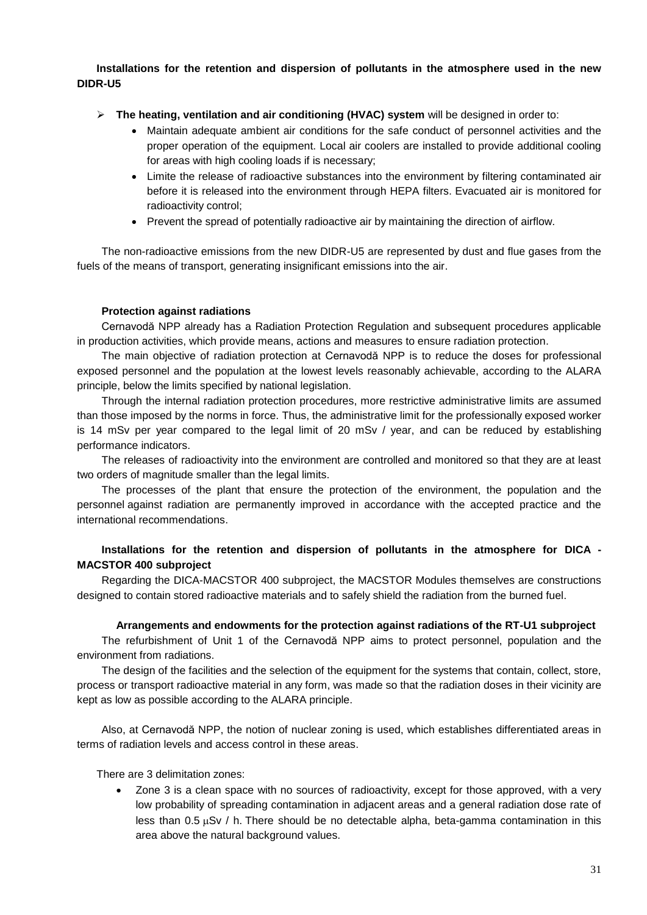# **Installations for the retention and dispersion of pollutants in the atmosphere used in the new DIDR-U5**

- **The heating, ventilation and air conditioning (HVAC) system** will be designed in order to:
	- Maintain adequate ambient air conditions for the safe conduct of personnel activities and the proper operation of the equipment. Local air coolers are installed to provide additional cooling for areas with high cooling loads if is necessary;
	- Limite the release of radioactive substances into the environment by filtering contaminated air before it is released into the environment through HEPA filters. Evacuated air is monitored for radioactivity control;
	- Prevent the spread of potentially radioactive air by maintaining the direction of airflow.

The non-radioactive emissions from the new DIDR-U5 are represented by dust and flue gases from the fuels of the means of transport, generating insignificant emissions into the air.

### **Protection against radiations**

Cernavodă NPP already has a Radiation Protection Regulation and subsequent procedures applicable in production activities, which provide means, actions and measures to ensure radiation protection.

The main objective of radiation protection at Cernavodă NPP is to reduce the doses for professional exposed personnel and the population at the lowest levels reasonably achievable, according to the ALARA principle, below the limits specified by national legislation.

Through the internal radiation protection procedures, more restrictive administrative limits are assumed than those imposed by the norms in force. Thus, the administrative limit for the professionally exposed worker is 14 mSv per year compared to the legal limit of 20 mSv / year, and can be reduced by establishing performance indicators.

The releases of radioactivity into the environment are controlled and monitored so that they are at least two orders of magnitude smaller than the legal limits.

The processes of the plant that ensure the protection of the environment, the population and the personnel against radiation are permanently improved in accordance with the accepted practice and the international recommendations.

# **Installations for the retention and dispersion of pollutants in the atmosphere for DICA - MACSTOR 400 subproject**

Regarding the DICA-MACSTOR 400 subproject, the MACSTOR Modules themselves are constructions designed to contain stored radioactive materials and to safely shield the radiation from the burned fuel.

## **Arrangements and endowments for the protection against radiations of the RT-U1 subproject**

The refurbishment of Unit 1 of the Cernavodă NPP aims to protect personnel, population and the environment from radiations.

The design of the facilities and the selection of the equipment for the systems that contain, collect, store, process or transport radioactive material in any form, was made so that the radiation doses in their vicinity are kept as low as possible according to the ALARA principle.

Also, at Cernavodă NPP, the notion of nuclear zoning is used, which establishes differentiated areas in terms of radiation levels and access control in these areas.

### There are 3 delimitation zones:

 Zone 3 is a clean space with no sources of radioactivity, except for those approved, with a very low probability of spreading contamination in adjacent areas and a general radiation dose rate of less than  $0.5 \mu Sv$  / h. There should be no detectable alpha, beta-gamma contamination in this area above the natural background values.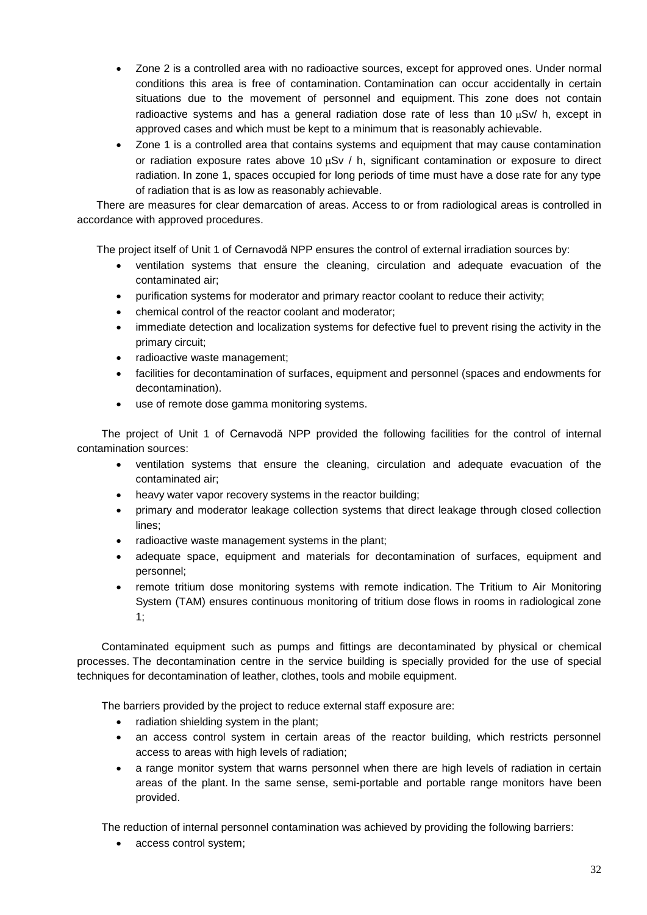- Zone 2 is a controlled area with no radioactive sources, except for approved ones. Under normal conditions this area is free of contamination. Contamination can occur accidentally in certain situations due to the movement of personnel and equipment. This zone does not contain radioactive systems and has a general radiation dose rate of less than 10  $\mu$ Sv/ h, except in approved cases and which must be kept to a minimum that is reasonably achievable.
- Zone 1 is a controlled area that contains systems and equipment that may cause contamination or radiation exposure rates above 10  $\mu$ Sv / h, significant contamination or exposure to direct radiation. In zone 1, spaces occupied for long periods of time must have a dose rate for any type of radiation that is as low as reasonably achievable.

There are measures for clear demarcation of areas. Access to or from radiological areas is controlled in accordance with approved procedures.

The project itself of Unit 1 of Cernavodă NPP ensures the control of external irradiation sources by:

- ventilation systems that ensure the cleaning, circulation and adequate evacuation of the contaminated air;
- purification systems for moderator and primary reactor coolant to reduce their activity;
- chemical control of the reactor coolant and moderator;
- immediate detection and localization systems for defective fuel to prevent rising the activity in the primary circuit;
- radioactive waste management;
- facilities for decontamination of surfaces, equipment and personnel (spaces and endowments for decontamination).
- use of remote dose gamma monitoring systems.

The project of Unit 1 of Cernavodă NPP provided the following facilities for the control of internal contamination sources:

- ventilation systems that ensure the cleaning, circulation and adequate evacuation of the contaminated air;
- heavy water vapor recovery systems in the reactor building;
- primary and moderator leakage collection systems that direct leakage through closed collection lines;
- radioactive waste management systems in the plant;
- adequate space, equipment and materials for decontamination of surfaces, equipment and personnel;
- remote tritium dose monitoring systems with remote indication. The Tritium to Air Monitoring System (TAM) ensures continuous monitoring of tritium dose flows in rooms in radiological zone 1;

Contaminated equipment such as pumps and fittings are decontaminated by physical or chemical processes. The decontamination centre in the service building is specially provided for the use of special techniques for decontamination of leather, clothes, tools and mobile equipment.

The barriers provided by the project to reduce external staff exposure are:

- radiation shielding system in the plant:
- an access control system in certain areas of the reactor building, which restricts personnel access to areas with high levels of radiation;
- a range monitor system that warns personnel when there are high levels of radiation in certain areas of the plant. In the same sense, semi-portable and portable range monitors have been provided.

The reduction of internal personnel contamination was achieved by providing the following barriers:

• access control system;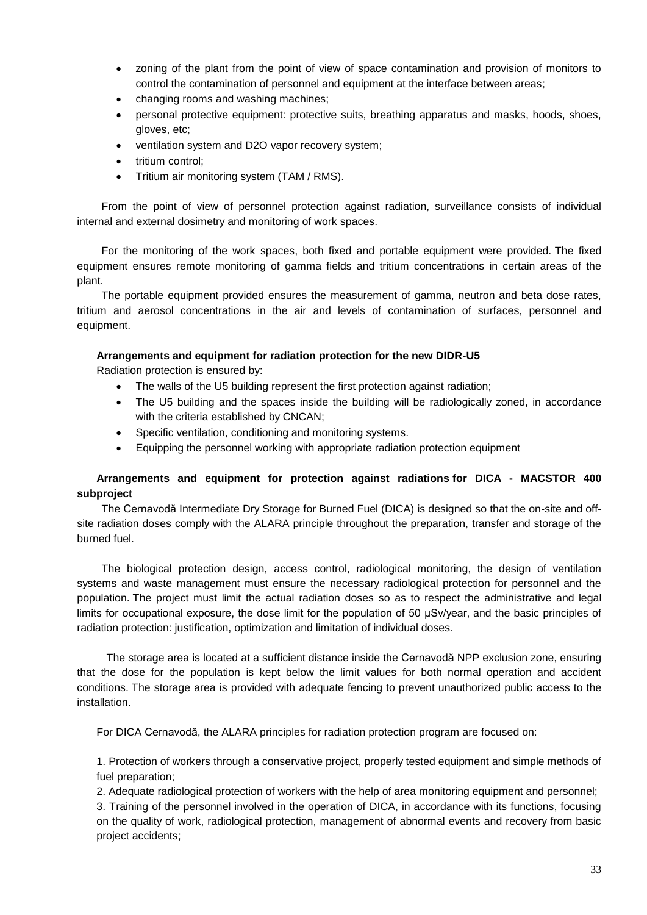- zoning of the plant from the point of view of space contamination and provision of monitors to control the contamination of personnel and equipment at the interface between areas;
- changing rooms and washing machines;
- personal protective equipment: protective suits, breathing apparatus and masks, hoods, shoes, gloves, etc;
- ventilation system and D2O vapor recovery system;
- tritium control:
- Tritium air monitoring system (TAM / RMS).

From the point of view of personnel protection against radiation, surveillance consists of individual internal and external dosimetry and monitoring of work spaces.

For the monitoring of the work spaces, both fixed and portable equipment were provided. The fixed equipment ensures remote monitoring of gamma fields and tritium concentrations in certain areas of the plant.

The portable equipment provided ensures the measurement of gamma, neutron and beta dose rates, tritium and aerosol concentrations in the air and levels of contamination of surfaces, personnel and equipment.

## **Arrangements and equipment for radiation protection for the new DIDR-U5**

Radiation protection is ensured by:

- The walls of the U5 building represent the first protection against radiation;
- The U5 building and the spaces inside the building will be radiologically zoned, in accordance with the criteria established by CNCAN;
- Specific ventilation, conditioning and monitoring systems.
- Equipping the personnel working with appropriate radiation protection equipment

# **Arrangements and equipment for protection against radiations for DICA - MACSTOR 400 subproject**

The Cernavodă Intermediate Dry Storage for Burned Fuel (DICA) is designed so that the on-site and offsite radiation doses comply with the ALARA principle throughout the preparation, transfer and storage of the burned fuel.

The biological protection design, access control, radiological monitoring, the design of ventilation systems and waste management must ensure the necessary radiological protection for personnel and the population. The project must limit the actual radiation doses so as to respect the administrative and legal limits for occupational exposure, the dose limit for the population of 50 μSv/year, and the basic principles of radiation protection: justification, optimization and limitation of individual doses.

The storage area is located at a sufficient distance inside the Cernavodă NPP exclusion zone, ensuring that the dose for the population is kept below the limit values for both normal operation and accident conditions. The storage area is provided with adequate fencing to prevent unauthorized public access to the installation.

For DICA Cernavodă, the ALARA principles for radiation protection program are focused on:

1. Protection of workers through a conservative project, properly tested equipment and simple methods of fuel preparation;

2. Adequate radiological protection of workers with the help of area monitoring equipment and personnel;

3. Training of the personnel involved in the operation of DICA, in accordance with its functions, focusing on the quality of work, radiological protection, management of abnormal events and recovery from basic project accidents;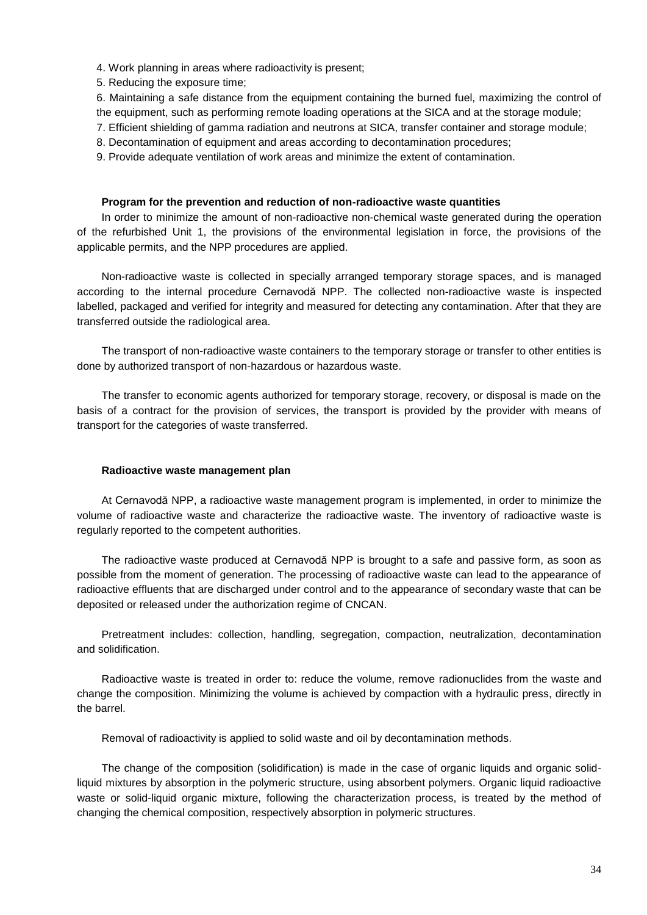4. Work planning in areas where radioactivity is present;

5. Reducing the exposure time;

6. Maintaining a safe distance from the equipment containing the burned fuel, maximizing the control of the equipment, such as performing remote loading operations at the SICA and at the storage module;

- 7. Efficient shielding of gamma radiation and neutrons at SICA, transfer container and storage module;
- 8. Decontamination of equipment and areas according to decontamination procedures;
- 9. Provide adequate ventilation of work areas and minimize the extent of contamination.

### **Program for the prevention and reduction of non-radioactive waste quantities**

In order to minimize the amount of non-radioactive non-chemical waste generated during the operation of the refurbished Unit 1, the provisions of the environmental legislation in force, the provisions of the applicable permits, and the NPP procedures are applied.

Non-radioactive waste is collected in specially arranged temporary storage spaces, and is managed according to the internal procedure Cernavodă NPP. The collected non-radioactive waste is inspected labelled, packaged and verified for integrity and measured for detecting any contamination. After that they are transferred outside the radiological area.

The transport of non-radioactive waste containers to the temporary storage or transfer to other entities is done by authorized transport of non-hazardous or hazardous waste.

The transfer to economic agents authorized for temporary storage, recovery, or disposal is made on the basis of a contract for the provision of services, the transport is provided by the provider with means of transport for the categories of waste transferred.

### **Radioactive waste management plan**

At Cernavodă NPP, a radioactive waste management program is implemented, in order to minimize the volume of radioactive waste and characterize the radioactive waste. The inventory of radioactive waste is regularly reported to the competent authorities.

The radioactive waste produced at Cernavodă NPP is brought to a safe and passive form, as soon as possible from the moment of generation. The processing of radioactive waste can lead to the appearance of radioactive effluents that are discharged under control and to the appearance of secondary waste that can be deposited or released under the authorization regime of CNCAN.

Pretreatment includes: collection, handling, segregation, compaction, neutralization, decontamination and solidification.

Radioactive waste is treated in order to: reduce the volume, remove radionuclides from the waste and change the composition. Minimizing the volume is achieved by compaction with a hydraulic press, directly in the barrel.

Removal of radioactivity is applied to solid waste and oil by decontamination methods.

The change of the composition (solidification) is made in the case of organic liquids and organic solidliquid mixtures by absorption in the polymeric structure, using absorbent polymers. Organic liquid radioactive waste or solid-liquid organic mixture, following the characterization process, is treated by the method of changing the chemical composition, respectively absorption in polymeric structures.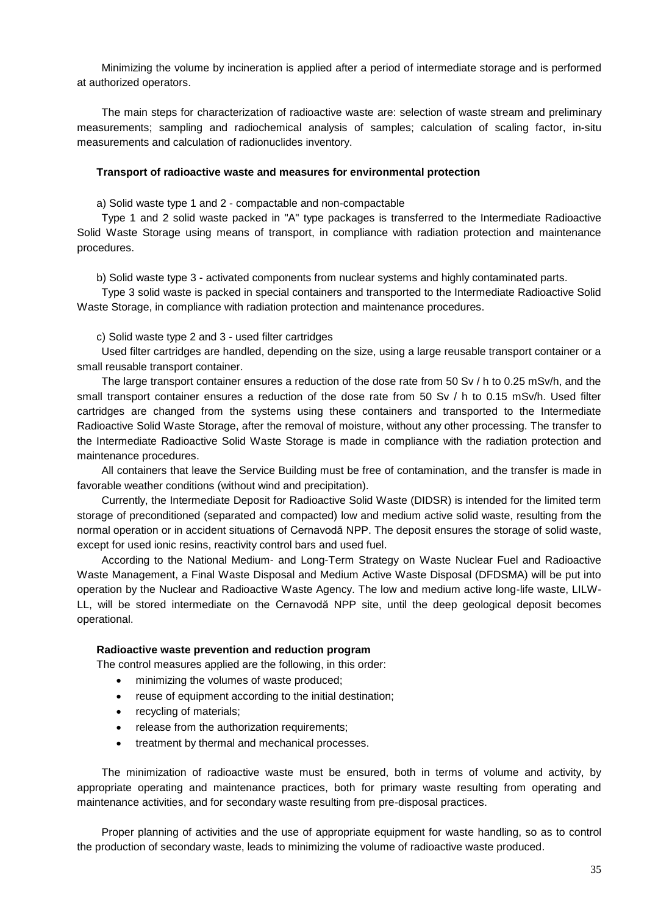Minimizing the volume by incineration is applied after a period of intermediate storage and is performed at authorized operators.

The main steps for characterization of radioactive waste are: selection of waste stream and preliminary measurements; sampling and radiochemical analysis of samples; calculation of scaling factor, in-situ measurements and calculation of radionuclides inventory.

### **Transport of radioactive waste and measures for environmental protection**

a) Solid waste type 1 and 2 - compactable and non-compactable

Type 1 and 2 solid waste packed in "A" type packages is transferred to the Intermediate Radioactive Solid Waste Storage using means of transport, in compliance with radiation protection and maintenance procedures.

b) Solid waste type 3 - activated components from nuclear systems and highly contaminated parts.

Type 3 solid waste is packed in special containers and transported to the Intermediate Radioactive Solid Waste Storage, in compliance with radiation protection and maintenance procedures.

c) Solid waste type 2 and 3 - used filter cartridges

Used filter cartridges are handled, depending on the size, using a large reusable transport container or a small reusable transport container.

The large transport container ensures a reduction of the dose rate from 50 Sv / h to 0.25 mSv/h, and the small transport container ensures a reduction of the dose rate from 50 Sv / h to 0.15 mSv/h. Used filter cartridges are changed from the systems using these containers and transported to the Intermediate Radioactive Solid Waste Storage, after the removal of moisture, without any other processing. The transfer to the Intermediate Radioactive Solid Waste Storage is made in compliance with the radiation protection and maintenance procedures.

All containers that leave the Service Building must be free of contamination, and the transfer is made in favorable weather conditions (without wind and precipitation).

Currently, the Intermediate Deposit for Radioactive Solid Waste (DIDSR) is intended for the limited term storage of preconditioned (separated and compacted) low and medium active solid waste, resulting from the normal operation or in accident situations of Cernavodă NPP. The deposit ensures the storage of solid waste, except for used ionic resins, reactivity control bars and used fuel.

According to the National Medium- and Long-Term Strategy on Waste Nuclear Fuel and Radioactive Waste Management, a Final Waste Disposal and Medium Active Waste Disposal (DFDSMA) will be put into operation by the Nuclear and Radioactive Waste Agency. The low and medium active long-life waste, LILW-LL, will be stored intermediate on the Cernavodă NPP site, until the deep geological deposit becomes operational.

### **Radioactive waste prevention and reduction program**

The control measures applied are the following, in this order:

- minimizing the volumes of waste produced;
- reuse of equipment according to the initial destination;
- recycling of materials;
- release from the authorization requirements;
- treatment by thermal and mechanical processes.

The minimization of radioactive waste must be ensured, both in terms of volume and activity, by appropriate operating and maintenance practices, both for primary waste resulting from operating and maintenance activities, and for secondary waste resulting from pre-disposal practices.

Proper planning of activities and the use of appropriate equipment for waste handling, so as to control the production of secondary waste, leads to minimizing the volume of radioactive waste produced.